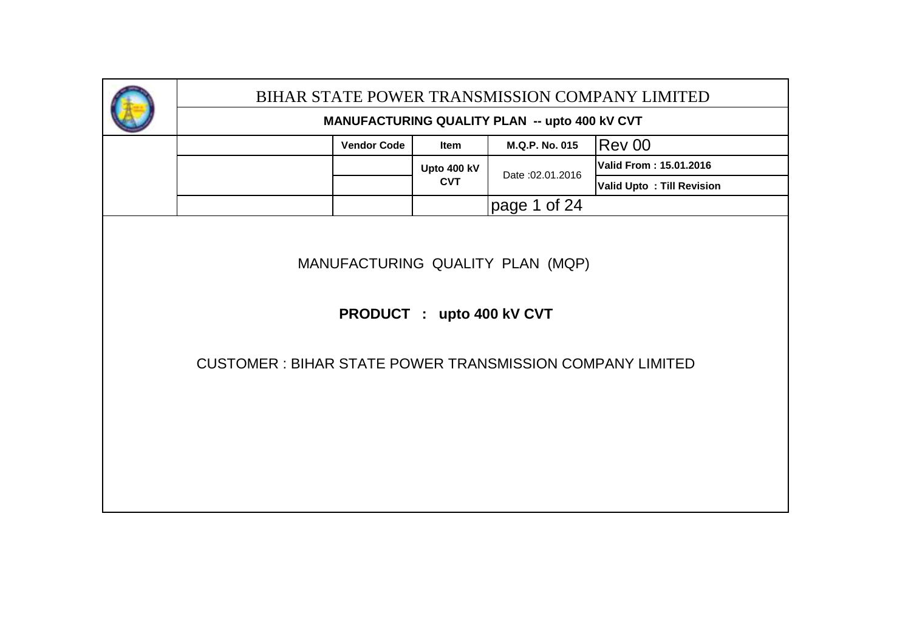|                                                                 |                    |                           |                                               | BIHAR STATE POWER TRANSMISSION COMPANY LIMITED |
|-----------------------------------------------------------------|--------------------|---------------------------|-----------------------------------------------|------------------------------------------------|
|                                                                 |                    |                           | MANUFACTURING QUALITY PLAN -- upto 400 kV CVT |                                                |
|                                                                 | <b>Vendor Code</b> | Item                      | M.Q.P. No. 015                                | Rev 00                                         |
|                                                                 |                    | Upto 400 kV               | Date: 02.01.2016                              | Valid From: 15.01.2016                         |
|                                                                 |                    | <b>CVT</b>                |                                               | <b>Valid Upto: Till Revision</b>               |
|                                                                 |                    |                           | page 1 of 24                                  |                                                |
| <b>CUSTOMER: BIHAR STATE POWER TRANSMISSION COMPANY LIMITED</b> |                    | PRODUCT : upto 400 kV CVT | MANUFACTURING QUALITY PLAN (MQP)              |                                                |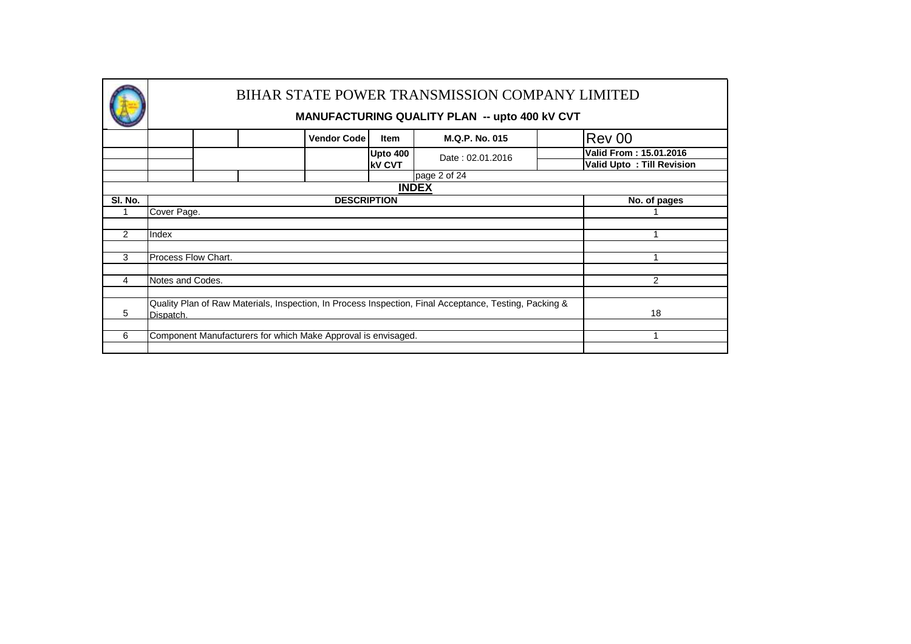|         |                                                                                                                     |                    |                 | BIHAR STATE POWER TRANSMISSION COMPANY LIMITED<br><b>MANUFACTURING QUALITY PLAN -- upto 400 KV CVT</b> |                                  |  |  |  |  |  |  |  |  |
|---------|---------------------------------------------------------------------------------------------------------------------|--------------------|-----------------|--------------------------------------------------------------------------------------------------------|----------------------------------|--|--|--|--|--|--|--|--|
|         |                                                                                                                     | <b>Vendor Code</b> | <b>Item</b>     | <b>M.Q.P. No. 015</b>                                                                                  | Rev 00                           |  |  |  |  |  |  |  |  |
|         |                                                                                                                     |                    | <b>Upto 400</b> | Date: 02.01.2016                                                                                       | Valid From: 15.01.2016           |  |  |  |  |  |  |  |  |
|         |                                                                                                                     |                    | <b>kV CVT</b>   |                                                                                                        | <b>Valid Upto: Till Revision</b> |  |  |  |  |  |  |  |  |
|         |                                                                                                                     |                    |                 | page 2 of 24                                                                                           |                                  |  |  |  |  |  |  |  |  |
|         |                                                                                                                     |                    |                 | <b>INDEX</b>                                                                                           |                                  |  |  |  |  |  |  |  |  |
| SI. No. | <b>DESCRIPTION</b><br>No. of pages                                                                                  |                    |                 |                                                                                                        |                                  |  |  |  |  |  |  |  |  |
|         | Cover Page.                                                                                                         |                    |                 |                                                                                                        |                                  |  |  |  |  |  |  |  |  |
|         |                                                                                                                     |                    |                 |                                                                                                        |                                  |  |  |  |  |  |  |  |  |
| 2       | Index                                                                                                               |                    |                 |                                                                                                        |                                  |  |  |  |  |  |  |  |  |
|         |                                                                                                                     |                    |                 |                                                                                                        |                                  |  |  |  |  |  |  |  |  |
| 3       | Process Flow Chart.                                                                                                 |                    |                 |                                                                                                        |                                  |  |  |  |  |  |  |  |  |
|         |                                                                                                                     |                    |                 |                                                                                                        |                                  |  |  |  |  |  |  |  |  |
| 4       | Notes and Codes.                                                                                                    |                    |                 |                                                                                                        | 2                                |  |  |  |  |  |  |  |  |
|         |                                                                                                                     |                    |                 |                                                                                                        |                                  |  |  |  |  |  |  |  |  |
| 5       | Quality Plan of Raw Materials, Inspection, In Process Inspection, Final Acceptance, Testing, Packing &<br>Dispatch. |                    |                 |                                                                                                        |                                  |  |  |  |  |  |  |  |  |
|         |                                                                                                                     |                    |                 |                                                                                                        |                                  |  |  |  |  |  |  |  |  |
| 6       | Component Manufacturers for which Make Approval is envisaged.                                                       |                    |                 |                                                                                                        |                                  |  |  |  |  |  |  |  |  |
|         |                                                                                                                     |                    |                 |                                                                                                        |                                  |  |  |  |  |  |  |  |  |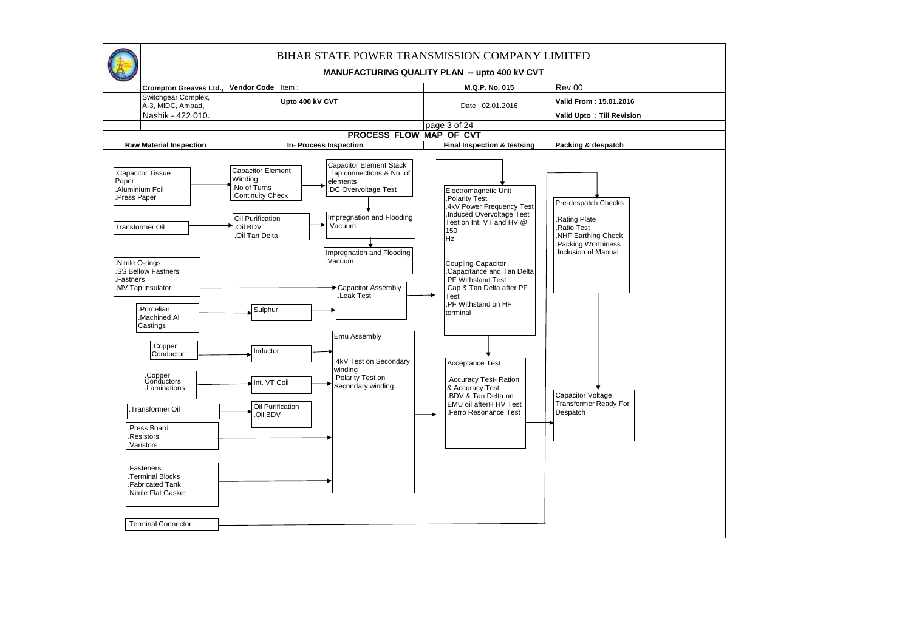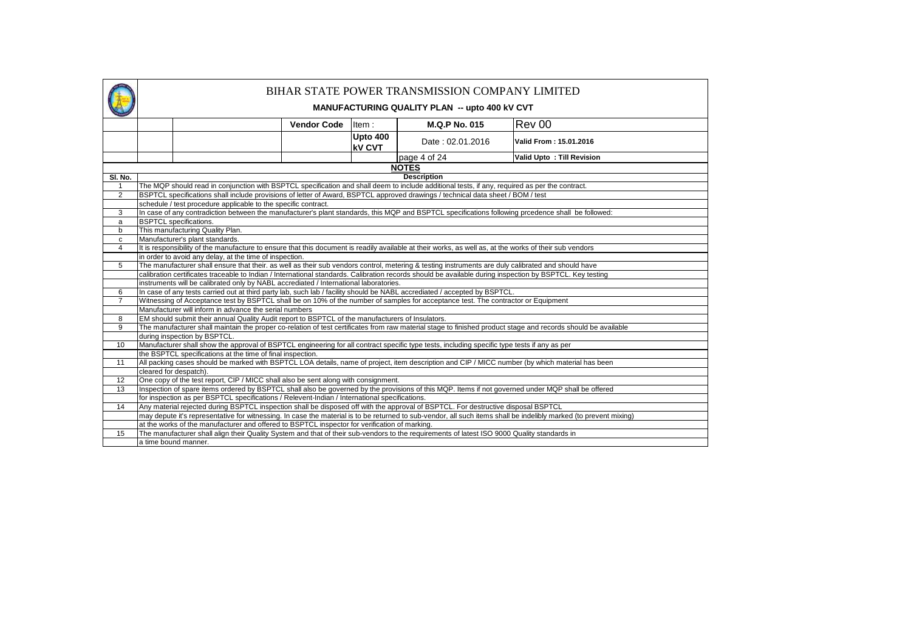| <b>Rev 00</b><br><b>M.Q.P No. 015</b><br><b>Vendor Code</b><br>Item:<br>Upto 400<br>Valid From: 15.01.2016<br>Date: 02.01.2016<br><b>kV CVT</b><br>page 4 of 24<br>Valid Upto: Till Revision<br><b>NOTES</b><br><b>Description</b><br>SI. No.<br>The MQP should read in conjunction with BSPTCL specification and shall deem to include additional tests, if any, required as per the contract.<br>$\mathbf{1}$<br>BSPTCL specifications shall include provisions of letter of Award, BSPTCL approved drawings / technical data sheet / BOM / test<br>2<br>schedule / test procedure applicable to the specific contract.<br>In case of any contradiction between the manufacturer's plant standards, this MQP and BSPTCL specifications following prcedence shall be followed:<br>3<br><b>BSPTCL</b> specifications.<br>a<br>This manufacturing Quality Plan.<br>b<br>Manufacturer's plant standards.<br>C<br>It is responsibility of the manufacture to ensure that this document is readily available at their works, as well as, at the works of their sub vendors<br>4<br>in order to avoid any delay, at the time of inspection.<br>$\overline{5}$<br>The manufacturer shall ensure that their. as well as their sub vendors control, metering & testing instruments are duly calibrated and should have<br>calibration certificates traceable to Indian / International standards. Calibration records should be available during inspection by BSPTCL. Key testing<br>instruments will be calibrated only by NABL accrediated / International laboratories.<br>In case of any tests carried out at third party lab, such lab / facility should be NABL accrediated / accepted by BSPTCL.<br>6<br>$\overline{7}$<br>Witnessing of Acceptance test by BSPTCL shall be on 10% of the number of samples for acceptance test. The contractor or Equipment<br>Manufacturer will inform in advance the serial numbers<br>EM should submit their annual Quality Audit report to BSPTCL of the manufacturers of Insulators.<br>8<br>The manufacturer shall maintain the proper co-relation of test certificates from raw material stage to finished product stage and records should be available<br>9<br>during inspection by BSPTCL.<br>Manufacturer shall show the approval of BSPTCL engineering for all contract specific type tests, including specific type tests if any as per<br>10<br>the BSPTCL specifications at the time of final inspection.<br>All packing cases should be marked with BSPTCL LOA details, name of project, item description and CIP / MICC number (by which material has been<br>11<br>cleared for despatch).<br>12<br>One copy of the test report, CIP / MICC shall also be sent along with consignment.<br>13<br>Inspection of spare items ordered by BSPTCL shall also be governed by the provisions of this MQP. Items if not governed under MQP shall be offered<br>for inspection as per BSPTCL specifications / Relevent-Indian / International specifications.<br>14<br>Any material rejected during BSPTCL inspection shall be disposed off with the approval of BSPTCL. For destructive disposal BSPTCL<br>may depute it's representative for witnessing. In case the material is to be returned to sub-vendor, all such items shall be indelibly marked (to prevent mixing)<br>at the works of the manufacturer and offered to BSPTCL inspector for verification of marking.<br>15<br>The manufacturer shall align their Quality System and that of their sub-vendors to the requirements of latest ISO 9000 Quality standards in<br>a time bound manner. |  |  |  |  | BIHAR STATE POWER TRANSMISSION COMPANY LIMITED<br>MANUFACTURING QUALITY PLAN -- upto 400 kV CVT |  |  |  |  |  |  |  |  |  |
|-----------------------------------------------------------------------------------------------------------------------------------------------------------------------------------------------------------------------------------------------------------------------------------------------------------------------------------------------------------------------------------------------------------------------------------------------------------------------------------------------------------------------------------------------------------------------------------------------------------------------------------------------------------------------------------------------------------------------------------------------------------------------------------------------------------------------------------------------------------------------------------------------------------------------------------------------------------------------------------------------------------------------------------------------------------------------------------------------------------------------------------------------------------------------------------------------------------------------------------------------------------------------------------------------------------------------------------------------------------------------------------------------------------------------------------------------------------------------------------------------------------------------------------------------------------------------------------------------------------------------------------------------------------------------------------------------------------------------------------------------------------------------------------------------------------------------------------------------------------------------------------------------------------------------------------------------------------------------------------------------------------------------------------------------------------------------------------------------------------------------------------------------------------------------------------------------------------------------------------------------------------------------------------------------------------------------------------------------------------------------------------------------------------------------------------------------------------------------------------------------------------------------------------------------------------------------------------------------------------------------------------------------------------------------------------------------------------------------------------------------------------------------------------------------------------------------------------------------------------------------------------------------------------------------------------------------------------------------------------------------------------------------------------------------------------------------------------------------------------------------------------------------------------------------------------------------------------------------------------------------------------------------------------------------------------------------------------------------------------------------------------------------------------------------------------------------------------------------------------------------------------------------------------------------------------------------------------------------------|--|--|--|--|-------------------------------------------------------------------------------------------------|--|--|--|--|--|--|--|--|--|
|                                                                                                                                                                                                                                                                                                                                                                                                                                                                                                                                                                                                                                                                                                                                                                                                                                                                                                                                                                                                                                                                                                                                                                                                                                                                                                                                                                                                                                                                                                                                                                                                                                                                                                                                                                                                                                                                                                                                                                                                                                                                                                                                                                                                                                                                                                                                                                                                                                                                                                                                                                                                                                                                                                                                                                                                                                                                                                                                                                                                                                                                                                                                                                                                                                                                                                                                                                                                                                                                                                                                                                                                     |  |  |  |  |                                                                                                 |  |  |  |  |  |  |  |  |  |
|                                                                                                                                                                                                                                                                                                                                                                                                                                                                                                                                                                                                                                                                                                                                                                                                                                                                                                                                                                                                                                                                                                                                                                                                                                                                                                                                                                                                                                                                                                                                                                                                                                                                                                                                                                                                                                                                                                                                                                                                                                                                                                                                                                                                                                                                                                                                                                                                                                                                                                                                                                                                                                                                                                                                                                                                                                                                                                                                                                                                                                                                                                                                                                                                                                                                                                                                                                                                                                                                                                                                                                                                     |  |  |  |  |                                                                                                 |  |  |  |  |  |  |  |  |  |
|                                                                                                                                                                                                                                                                                                                                                                                                                                                                                                                                                                                                                                                                                                                                                                                                                                                                                                                                                                                                                                                                                                                                                                                                                                                                                                                                                                                                                                                                                                                                                                                                                                                                                                                                                                                                                                                                                                                                                                                                                                                                                                                                                                                                                                                                                                                                                                                                                                                                                                                                                                                                                                                                                                                                                                                                                                                                                                                                                                                                                                                                                                                                                                                                                                                                                                                                                                                                                                                                                                                                                                                                     |  |  |  |  |                                                                                                 |  |  |  |  |  |  |  |  |  |
|                                                                                                                                                                                                                                                                                                                                                                                                                                                                                                                                                                                                                                                                                                                                                                                                                                                                                                                                                                                                                                                                                                                                                                                                                                                                                                                                                                                                                                                                                                                                                                                                                                                                                                                                                                                                                                                                                                                                                                                                                                                                                                                                                                                                                                                                                                                                                                                                                                                                                                                                                                                                                                                                                                                                                                                                                                                                                                                                                                                                                                                                                                                                                                                                                                                                                                                                                                                                                                                                                                                                                                                                     |  |  |  |  |                                                                                                 |  |  |  |  |  |  |  |  |  |
|                                                                                                                                                                                                                                                                                                                                                                                                                                                                                                                                                                                                                                                                                                                                                                                                                                                                                                                                                                                                                                                                                                                                                                                                                                                                                                                                                                                                                                                                                                                                                                                                                                                                                                                                                                                                                                                                                                                                                                                                                                                                                                                                                                                                                                                                                                                                                                                                                                                                                                                                                                                                                                                                                                                                                                                                                                                                                                                                                                                                                                                                                                                                                                                                                                                                                                                                                                                                                                                                                                                                                                                                     |  |  |  |  |                                                                                                 |  |  |  |  |  |  |  |  |  |
|                                                                                                                                                                                                                                                                                                                                                                                                                                                                                                                                                                                                                                                                                                                                                                                                                                                                                                                                                                                                                                                                                                                                                                                                                                                                                                                                                                                                                                                                                                                                                                                                                                                                                                                                                                                                                                                                                                                                                                                                                                                                                                                                                                                                                                                                                                                                                                                                                                                                                                                                                                                                                                                                                                                                                                                                                                                                                                                                                                                                                                                                                                                                                                                                                                                                                                                                                                                                                                                                                                                                                                                                     |  |  |  |  |                                                                                                 |  |  |  |  |  |  |  |  |  |
|                                                                                                                                                                                                                                                                                                                                                                                                                                                                                                                                                                                                                                                                                                                                                                                                                                                                                                                                                                                                                                                                                                                                                                                                                                                                                                                                                                                                                                                                                                                                                                                                                                                                                                                                                                                                                                                                                                                                                                                                                                                                                                                                                                                                                                                                                                                                                                                                                                                                                                                                                                                                                                                                                                                                                                                                                                                                                                                                                                                                                                                                                                                                                                                                                                                                                                                                                                                                                                                                                                                                                                                                     |  |  |  |  |                                                                                                 |  |  |  |  |  |  |  |  |  |
|                                                                                                                                                                                                                                                                                                                                                                                                                                                                                                                                                                                                                                                                                                                                                                                                                                                                                                                                                                                                                                                                                                                                                                                                                                                                                                                                                                                                                                                                                                                                                                                                                                                                                                                                                                                                                                                                                                                                                                                                                                                                                                                                                                                                                                                                                                                                                                                                                                                                                                                                                                                                                                                                                                                                                                                                                                                                                                                                                                                                                                                                                                                                                                                                                                                                                                                                                                                                                                                                                                                                                                                                     |  |  |  |  |                                                                                                 |  |  |  |  |  |  |  |  |  |
|                                                                                                                                                                                                                                                                                                                                                                                                                                                                                                                                                                                                                                                                                                                                                                                                                                                                                                                                                                                                                                                                                                                                                                                                                                                                                                                                                                                                                                                                                                                                                                                                                                                                                                                                                                                                                                                                                                                                                                                                                                                                                                                                                                                                                                                                                                                                                                                                                                                                                                                                                                                                                                                                                                                                                                                                                                                                                                                                                                                                                                                                                                                                                                                                                                                                                                                                                                                                                                                                                                                                                                                                     |  |  |  |  |                                                                                                 |  |  |  |  |  |  |  |  |  |
|                                                                                                                                                                                                                                                                                                                                                                                                                                                                                                                                                                                                                                                                                                                                                                                                                                                                                                                                                                                                                                                                                                                                                                                                                                                                                                                                                                                                                                                                                                                                                                                                                                                                                                                                                                                                                                                                                                                                                                                                                                                                                                                                                                                                                                                                                                                                                                                                                                                                                                                                                                                                                                                                                                                                                                                                                                                                                                                                                                                                                                                                                                                                                                                                                                                                                                                                                                                                                                                                                                                                                                                                     |  |  |  |  |                                                                                                 |  |  |  |  |  |  |  |  |  |
|                                                                                                                                                                                                                                                                                                                                                                                                                                                                                                                                                                                                                                                                                                                                                                                                                                                                                                                                                                                                                                                                                                                                                                                                                                                                                                                                                                                                                                                                                                                                                                                                                                                                                                                                                                                                                                                                                                                                                                                                                                                                                                                                                                                                                                                                                                                                                                                                                                                                                                                                                                                                                                                                                                                                                                                                                                                                                                                                                                                                                                                                                                                                                                                                                                                                                                                                                                                                                                                                                                                                                                                                     |  |  |  |  |                                                                                                 |  |  |  |  |  |  |  |  |  |
|                                                                                                                                                                                                                                                                                                                                                                                                                                                                                                                                                                                                                                                                                                                                                                                                                                                                                                                                                                                                                                                                                                                                                                                                                                                                                                                                                                                                                                                                                                                                                                                                                                                                                                                                                                                                                                                                                                                                                                                                                                                                                                                                                                                                                                                                                                                                                                                                                                                                                                                                                                                                                                                                                                                                                                                                                                                                                                                                                                                                                                                                                                                                                                                                                                                                                                                                                                                                                                                                                                                                                                                                     |  |  |  |  |                                                                                                 |  |  |  |  |  |  |  |  |  |
|                                                                                                                                                                                                                                                                                                                                                                                                                                                                                                                                                                                                                                                                                                                                                                                                                                                                                                                                                                                                                                                                                                                                                                                                                                                                                                                                                                                                                                                                                                                                                                                                                                                                                                                                                                                                                                                                                                                                                                                                                                                                                                                                                                                                                                                                                                                                                                                                                                                                                                                                                                                                                                                                                                                                                                                                                                                                                                                                                                                                                                                                                                                                                                                                                                                                                                                                                                                                                                                                                                                                                                                                     |  |  |  |  |                                                                                                 |  |  |  |  |  |  |  |  |  |
|                                                                                                                                                                                                                                                                                                                                                                                                                                                                                                                                                                                                                                                                                                                                                                                                                                                                                                                                                                                                                                                                                                                                                                                                                                                                                                                                                                                                                                                                                                                                                                                                                                                                                                                                                                                                                                                                                                                                                                                                                                                                                                                                                                                                                                                                                                                                                                                                                                                                                                                                                                                                                                                                                                                                                                                                                                                                                                                                                                                                                                                                                                                                                                                                                                                                                                                                                                                                                                                                                                                                                                                                     |  |  |  |  |                                                                                                 |  |  |  |  |  |  |  |  |  |
|                                                                                                                                                                                                                                                                                                                                                                                                                                                                                                                                                                                                                                                                                                                                                                                                                                                                                                                                                                                                                                                                                                                                                                                                                                                                                                                                                                                                                                                                                                                                                                                                                                                                                                                                                                                                                                                                                                                                                                                                                                                                                                                                                                                                                                                                                                                                                                                                                                                                                                                                                                                                                                                                                                                                                                                                                                                                                                                                                                                                                                                                                                                                                                                                                                                                                                                                                                                                                                                                                                                                                                                                     |  |  |  |  |                                                                                                 |  |  |  |  |  |  |  |  |  |
|                                                                                                                                                                                                                                                                                                                                                                                                                                                                                                                                                                                                                                                                                                                                                                                                                                                                                                                                                                                                                                                                                                                                                                                                                                                                                                                                                                                                                                                                                                                                                                                                                                                                                                                                                                                                                                                                                                                                                                                                                                                                                                                                                                                                                                                                                                                                                                                                                                                                                                                                                                                                                                                                                                                                                                                                                                                                                                                                                                                                                                                                                                                                                                                                                                                                                                                                                                                                                                                                                                                                                                                                     |  |  |  |  |                                                                                                 |  |  |  |  |  |  |  |  |  |
|                                                                                                                                                                                                                                                                                                                                                                                                                                                                                                                                                                                                                                                                                                                                                                                                                                                                                                                                                                                                                                                                                                                                                                                                                                                                                                                                                                                                                                                                                                                                                                                                                                                                                                                                                                                                                                                                                                                                                                                                                                                                                                                                                                                                                                                                                                                                                                                                                                                                                                                                                                                                                                                                                                                                                                                                                                                                                                                                                                                                                                                                                                                                                                                                                                                                                                                                                                                                                                                                                                                                                                                                     |  |  |  |  |                                                                                                 |  |  |  |  |  |  |  |  |  |
|                                                                                                                                                                                                                                                                                                                                                                                                                                                                                                                                                                                                                                                                                                                                                                                                                                                                                                                                                                                                                                                                                                                                                                                                                                                                                                                                                                                                                                                                                                                                                                                                                                                                                                                                                                                                                                                                                                                                                                                                                                                                                                                                                                                                                                                                                                                                                                                                                                                                                                                                                                                                                                                                                                                                                                                                                                                                                                                                                                                                                                                                                                                                                                                                                                                                                                                                                                                                                                                                                                                                                                                                     |  |  |  |  |                                                                                                 |  |  |  |  |  |  |  |  |  |
|                                                                                                                                                                                                                                                                                                                                                                                                                                                                                                                                                                                                                                                                                                                                                                                                                                                                                                                                                                                                                                                                                                                                                                                                                                                                                                                                                                                                                                                                                                                                                                                                                                                                                                                                                                                                                                                                                                                                                                                                                                                                                                                                                                                                                                                                                                                                                                                                                                                                                                                                                                                                                                                                                                                                                                                                                                                                                                                                                                                                                                                                                                                                                                                                                                                                                                                                                                                                                                                                                                                                                                                                     |  |  |  |  |                                                                                                 |  |  |  |  |  |  |  |  |  |
|                                                                                                                                                                                                                                                                                                                                                                                                                                                                                                                                                                                                                                                                                                                                                                                                                                                                                                                                                                                                                                                                                                                                                                                                                                                                                                                                                                                                                                                                                                                                                                                                                                                                                                                                                                                                                                                                                                                                                                                                                                                                                                                                                                                                                                                                                                                                                                                                                                                                                                                                                                                                                                                                                                                                                                                                                                                                                                                                                                                                                                                                                                                                                                                                                                                                                                                                                                                                                                                                                                                                                                                                     |  |  |  |  |                                                                                                 |  |  |  |  |  |  |  |  |  |
|                                                                                                                                                                                                                                                                                                                                                                                                                                                                                                                                                                                                                                                                                                                                                                                                                                                                                                                                                                                                                                                                                                                                                                                                                                                                                                                                                                                                                                                                                                                                                                                                                                                                                                                                                                                                                                                                                                                                                                                                                                                                                                                                                                                                                                                                                                                                                                                                                                                                                                                                                                                                                                                                                                                                                                                                                                                                                                                                                                                                                                                                                                                                                                                                                                                                                                                                                                                                                                                                                                                                                                                                     |  |  |  |  |                                                                                                 |  |  |  |  |  |  |  |  |  |
|                                                                                                                                                                                                                                                                                                                                                                                                                                                                                                                                                                                                                                                                                                                                                                                                                                                                                                                                                                                                                                                                                                                                                                                                                                                                                                                                                                                                                                                                                                                                                                                                                                                                                                                                                                                                                                                                                                                                                                                                                                                                                                                                                                                                                                                                                                                                                                                                                                                                                                                                                                                                                                                                                                                                                                                                                                                                                                                                                                                                                                                                                                                                                                                                                                                                                                                                                                                                                                                                                                                                                                                                     |  |  |  |  |                                                                                                 |  |  |  |  |  |  |  |  |  |
|                                                                                                                                                                                                                                                                                                                                                                                                                                                                                                                                                                                                                                                                                                                                                                                                                                                                                                                                                                                                                                                                                                                                                                                                                                                                                                                                                                                                                                                                                                                                                                                                                                                                                                                                                                                                                                                                                                                                                                                                                                                                                                                                                                                                                                                                                                                                                                                                                                                                                                                                                                                                                                                                                                                                                                                                                                                                                                                                                                                                                                                                                                                                                                                                                                                                                                                                                                                                                                                                                                                                                                                                     |  |  |  |  |                                                                                                 |  |  |  |  |  |  |  |  |  |
|                                                                                                                                                                                                                                                                                                                                                                                                                                                                                                                                                                                                                                                                                                                                                                                                                                                                                                                                                                                                                                                                                                                                                                                                                                                                                                                                                                                                                                                                                                                                                                                                                                                                                                                                                                                                                                                                                                                                                                                                                                                                                                                                                                                                                                                                                                                                                                                                                                                                                                                                                                                                                                                                                                                                                                                                                                                                                                                                                                                                                                                                                                                                                                                                                                                                                                                                                                                                                                                                                                                                                                                                     |  |  |  |  |                                                                                                 |  |  |  |  |  |  |  |  |  |
|                                                                                                                                                                                                                                                                                                                                                                                                                                                                                                                                                                                                                                                                                                                                                                                                                                                                                                                                                                                                                                                                                                                                                                                                                                                                                                                                                                                                                                                                                                                                                                                                                                                                                                                                                                                                                                                                                                                                                                                                                                                                                                                                                                                                                                                                                                                                                                                                                                                                                                                                                                                                                                                                                                                                                                                                                                                                                                                                                                                                                                                                                                                                                                                                                                                                                                                                                                                                                                                                                                                                                                                                     |  |  |  |  |                                                                                                 |  |  |  |  |  |  |  |  |  |
|                                                                                                                                                                                                                                                                                                                                                                                                                                                                                                                                                                                                                                                                                                                                                                                                                                                                                                                                                                                                                                                                                                                                                                                                                                                                                                                                                                                                                                                                                                                                                                                                                                                                                                                                                                                                                                                                                                                                                                                                                                                                                                                                                                                                                                                                                                                                                                                                                                                                                                                                                                                                                                                                                                                                                                                                                                                                                                                                                                                                                                                                                                                                                                                                                                                                                                                                                                                                                                                                                                                                                                                                     |  |  |  |  |                                                                                                 |  |  |  |  |  |  |  |  |  |
|                                                                                                                                                                                                                                                                                                                                                                                                                                                                                                                                                                                                                                                                                                                                                                                                                                                                                                                                                                                                                                                                                                                                                                                                                                                                                                                                                                                                                                                                                                                                                                                                                                                                                                                                                                                                                                                                                                                                                                                                                                                                                                                                                                                                                                                                                                                                                                                                                                                                                                                                                                                                                                                                                                                                                                                                                                                                                                                                                                                                                                                                                                                                                                                                                                                                                                                                                                                                                                                                                                                                                                                                     |  |  |  |  |                                                                                                 |  |  |  |  |  |  |  |  |  |
|                                                                                                                                                                                                                                                                                                                                                                                                                                                                                                                                                                                                                                                                                                                                                                                                                                                                                                                                                                                                                                                                                                                                                                                                                                                                                                                                                                                                                                                                                                                                                                                                                                                                                                                                                                                                                                                                                                                                                                                                                                                                                                                                                                                                                                                                                                                                                                                                                                                                                                                                                                                                                                                                                                                                                                                                                                                                                                                                                                                                                                                                                                                                                                                                                                                                                                                                                                                                                                                                                                                                                                                                     |  |  |  |  |                                                                                                 |  |  |  |  |  |  |  |  |  |
|                                                                                                                                                                                                                                                                                                                                                                                                                                                                                                                                                                                                                                                                                                                                                                                                                                                                                                                                                                                                                                                                                                                                                                                                                                                                                                                                                                                                                                                                                                                                                                                                                                                                                                                                                                                                                                                                                                                                                                                                                                                                                                                                                                                                                                                                                                                                                                                                                                                                                                                                                                                                                                                                                                                                                                                                                                                                                                                                                                                                                                                                                                                                                                                                                                                                                                                                                                                                                                                                                                                                                                                                     |  |  |  |  |                                                                                                 |  |  |  |  |  |  |  |  |  |
|                                                                                                                                                                                                                                                                                                                                                                                                                                                                                                                                                                                                                                                                                                                                                                                                                                                                                                                                                                                                                                                                                                                                                                                                                                                                                                                                                                                                                                                                                                                                                                                                                                                                                                                                                                                                                                                                                                                                                                                                                                                                                                                                                                                                                                                                                                                                                                                                                                                                                                                                                                                                                                                                                                                                                                                                                                                                                                                                                                                                                                                                                                                                                                                                                                                                                                                                                                                                                                                                                                                                                                                                     |  |  |  |  |                                                                                                 |  |  |  |  |  |  |  |  |  |
|                                                                                                                                                                                                                                                                                                                                                                                                                                                                                                                                                                                                                                                                                                                                                                                                                                                                                                                                                                                                                                                                                                                                                                                                                                                                                                                                                                                                                                                                                                                                                                                                                                                                                                                                                                                                                                                                                                                                                                                                                                                                                                                                                                                                                                                                                                                                                                                                                                                                                                                                                                                                                                                                                                                                                                                                                                                                                                                                                                                                                                                                                                                                                                                                                                                                                                                                                                                                                                                                                                                                                                                                     |  |  |  |  |                                                                                                 |  |  |  |  |  |  |  |  |  |
|                                                                                                                                                                                                                                                                                                                                                                                                                                                                                                                                                                                                                                                                                                                                                                                                                                                                                                                                                                                                                                                                                                                                                                                                                                                                                                                                                                                                                                                                                                                                                                                                                                                                                                                                                                                                                                                                                                                                                                                                                                                                                                                                                                                                                                                                                                                                                                                                                                                                                                                                                                                                                                                                                                                                                                                                                                                                                                                                                                                                                                                                                                                                                                                                                                                                                                                                                                                                                                                                                                                                                                                                     |  |  |  |  |                                                                                                 |  |  |  |  |  |  |  |  |  |
|                                                                                                                                                                                                                                                                                                                                                                                                                                                                                                                                                                                                                                                                                                                                                                                                                                                                                                                                                                                                                                                                                                                                                                                                                                                                                                                                                                                                                                                                                                                                                                                                                                                                                                                                                                                                                                                                                                                                                                                                                                                                                                                                                                                                                                                                                                                                                                                                                                                                                                                                                                                                                                                                                                                                                                                                                                                                                                                                                                                                                                                                                                                                                                                                                                                                                                                                                                                                                                                                                                                                                                                                     |  |  |  |  |                                                                                                 |  |  |  |  |  |  |  |  |  |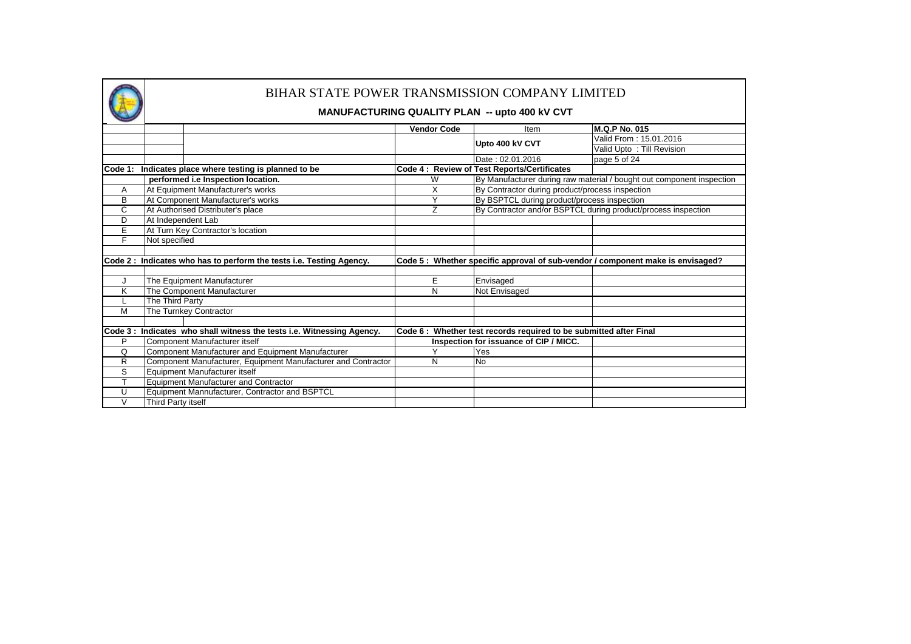

|        |                                                                        | <b>Vendor Code</b> | Item                                                               | <b>M.Q.P No. 015</b>                                                           |
|--------|------------------------------------------------------------------------|--------------------|--------------------------------------------------------------------|--------------------------------------------------------------------------------|
|        |                                                                        |                    | Upto 400 kV CVT                                                    | Valid From: 15.01.2016                                                         |
|        |                                                                        |                    |                                                                    | Valid Upto: Till Revision                                                      |
|        |                                                                        |                    | Date: 02.01.2016                                                   | page 5 of 24                                                                   |
|        | Code 1: Indicates place where testing is planned to be                 |                    | Code 4: Review of Test Reports/Certificates                        |                                                                                |
|        | performed i.e Inspection location.                                     | W                  |                                                                    | By Manufacturer during raw material / bought out component inspection          |
| A      | At Equipment Manufacturer's works                                      | X                  | By Contractor during product/process inspection                    |                                                                                |
| B      | At Component Manufacturer's works                                      | $\checkmark$       | By BSPTCL during product/process inspection                        |                                                                                |
| C      | At Authorised Distributer's place                                      | Z                  |                                                                    | By Contractor and/or BSPTCL during product/process inspection                  |
| D      | At Independent Lab                                                     |                    |                                                                    |                                                                                |
| Е      | At Turn Key Contractor's location                                      |                    |                                                                    |                                                                                |
| F      | Not specified                                                          |                    |                                                                    |                                                                                |
|        |                                                                        |                    |                                                                    |                                                                                |
|        | Code 2: Indicates who has to perform the tests i.e. Testing Agency.    |                    |                                                                    | Code 5: Whether specific approval of sub-vendor / component make is envisaged? |
|        |                                                                        |                    |                                                                    |                                                                                |
|        | The Equipment Manufacturer                                             | E                  | Envisaged                                                          |                                                                                |
| Κ      | The Component Manufacturer                                             | N                  | Not Envisaged                                                      |                                                                                |
|        | The Third Party                                                        |                    |                                                                    |                                                                                |
| M      | The Turnkey Contractor                                                 |                    |                                                                    |                                                                                |
|        |                                                                        |                    |                                                                    |                                                                                |
|        | Code 3 : Indicates who shall witness the tests i.e. Witnessing Agency. |                    | Code 6 : Whether test records required to be submitted after Final |                                                                                |
| P      | Component Manufacturer itself                                          |                    | Inspection for issuance of CIP / MICC.                             |                                                                                |
| Q      | Component Manufacturer and Equipment Manufacturer                      | $\checkmark$       | Yes                                                                |                                                                                |
| R      | Component Manufacturer, Equipment Manufacturer and Contractor          | N                  | <b>No</b>                                                          |                                                                                |
| S      | Equipment Manufacturer itself                                          |                    |                                                                    |                                                                                |
| т      | <b>Equipment Manufacturer and Contractor</b>                           |                    |                                                                    |                                                                                |
| U      | Equipment Mannufacturer, Contractor and BSPTCL                         |                    |                                                                    |                                                                                |
| $\vee$ | Third Party itself                                                     |                    |                                                                    |                                                                                |
|        |                                                                        |                    |                                                                    |                                                                                |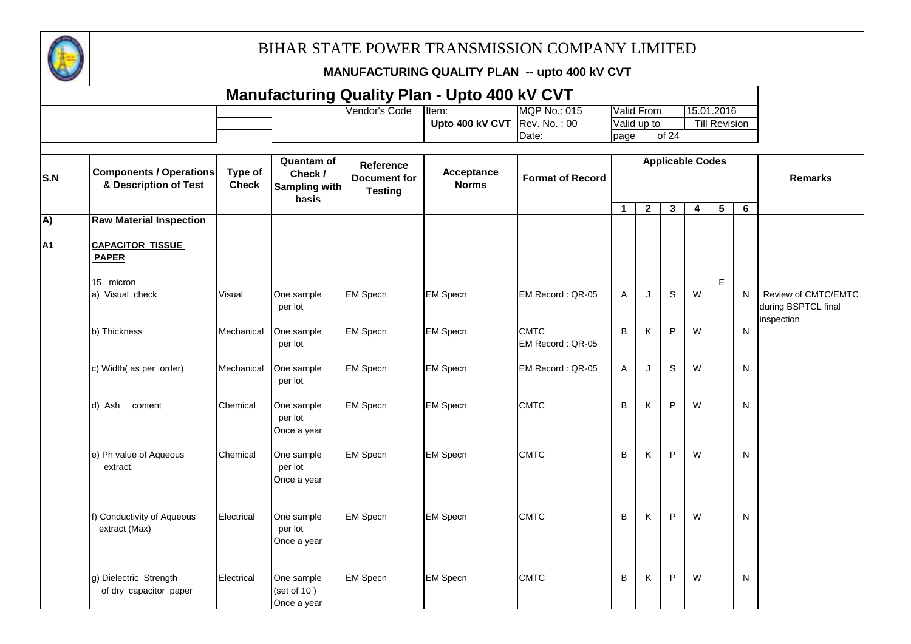

| <b>Manufacturing Quality Plan - Upto 400 kV CVT</b> |                                                         |                         |                                                      |                                                    |                            |                                 |                |                |              |                         |                      |   |                                            |
|-----------------------------------------------------|---------------------------------------------------------|-------------------------|------------------------------------------------------|----------------------------------------------------|----------------------------|---------------------------------|----------------|----------------|--------------|-------------------------|----------------------|---|--------------------------------------------|
|                                                     |                                                         |                         |                                                      | Vendor's Code                                      | Item:                      | <b>MQP No.: 015</b>             |                | Valid From     |              |                         | 15.01.2016           |   |                                            |
|                                                     |                                                         |                         |                                                      |                                                    | Upto 400 kV CVT            | Rev. No.: 00                    |                | Valid up to    |              |                         | <b>Till Revision</b> |   |                                            |
|                                                     |                                                         |                         |                                                      |                                                    |                            | Date:                           | page           |                | of 24        |                         |                      |   |                                            |
| S.N                                                 | <b>Components / Operations</b><br>& Description of Test | Type of<br><b>Check</b> | <b>Quantam of</b><br>Check /<br><b>Sampling with</b> | Reference<br><b>Document for</b><br><b>Testing</b> | Acceptance<br><b>Norms</b> | <b>Format of Record</b>         |                |                |              | <b>Applicable Codes</b> |                      |   | <b>Remarks</b>                             |
|                                                     |                                                         |                         | basis                                                |                                                    |                            |                                 | $\mathbf{1}$   | $\overline{2}$ | $\mathbf{3}$ | 4                       | $5\phantom{.0}$      | 6 |                                            |
| A)                                                  | <b>Raw Material Inspection</b>                          |                         |                                                      |                                                    |                            |                                 |                |                |              |                         |                      |   |                                            |
| А1                                                  | <b>CAPACITOR TISSUE</b><br><b>PAPER</b>                 |                         |                                                      |                                                    |                            |                                 |                |                |              |                         |                      |   |                                            |
|                                                     | 15 micron                                               |                         |                                                      |                                                    |                            |                                 |                |                |              |                         | E                    |   |                                            |
|                                                     | a) Visual check                                         | Visual                  | One sample<br>per lot                                | <b>EM Specn</b>                                    | <b>EM Specn</b>            | EM Record: QR-05                | $\overline{A}$ | J              | $\mathbb S$  | W                       |                      | N | Review of CMTC/EMTC<br>during BSPTCL final |
|                                                     | b) Thickness                                            | Mechanical              | One sample<br>per lot                                | <b>EM Specn</b>                                    | <b>EM Specn</b>            | <b>CMTC</b><br>EM Record: QR-05 | B              | Κ              | ${\sf P}$    | W                       |                      | N | inspection                                 |
|                                                     | c) Width(as per order)                                  | Mechanical              | One sample<br>per lot                                | <b>EM Specn</b>                                    | <b>EM Specn</b>            | EM Record: QR-05                | A              | J              | $\mathbb S$  | W                       |                      | N |                                            |
|                                                     | d) Ash content                                          | Chemical                | One sample<br>per lot<br>Once a year                 | <b>EM Specn</b>                                    | <b>EM Specn</b>            | <b>CMTC</b>                     | B              | K              | P            | W                       |                      | N |                                            |
|                                                     | e) Ph value of Aqueous<br>extract.                      | Chemical                | One sample<br>per lot<br>Once a year                 | <b>EM Specn</b>                                    | <b>EM Specn</b>            | <b>CMTC</b>                     | B              | K              | P            | W                       |                      | N |                                            |
|                                                     | f) Conductivity of Aqueous<br>extract (Max)             | Electrical              | One sample<br>per lot<br>Once a year                 | <b>EM Specn</b>                                    | <b>EM Specn</b>            | <b>CMTC</b>                     | B              | Κ              | P            | W                       |                      | N |                                            |
|                                                     | g) Dielectric Strength<br>of dry capacitor paper        | Electrical              | One sample<br>(set of 10)<br>Once a year             | <b>EM Specn</b>                                    | <b>EM Specn</b>            | <b>CMTC</b>                     | B              | Κ              | P            | W                       |                      | N |                                            |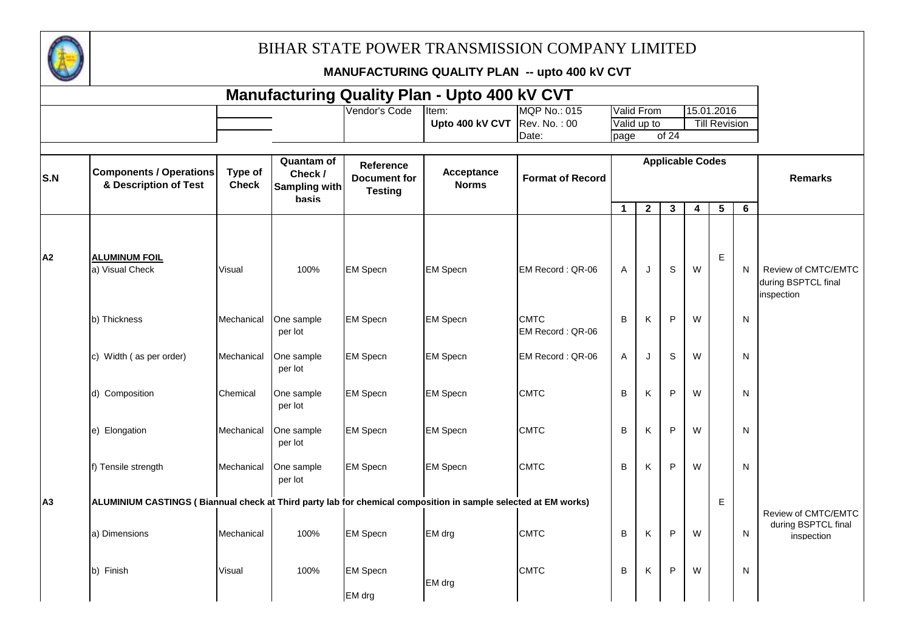

|                |                                                                                                                |                         |                                                        |                                                           | <b>Manufacturing Quality Plan - Upto 400 kV CVT</b> |                                 |              |                |                         |                         |                      |              |                                                          |
|----------------|----------------------------------------------------------------------------------------------------------------|-------------------------|--------------------------------------------------------|-----------------------------------------------------------|-----------------------------------------------------|---------------------------------|--------------|----------------|-------------------------|-------------------------|----------------------|--------------|----------------------------------------------------------|
|                |                                                                                                                |                         |                                                        | Vendor's Code                                             | Item:                                               | <b>MQP No.: 015</b>             |              | Valid From     |                         |                         | 15.01.2016           |              |                                                          |
|                |                                                                                                                |                         |                                                        |                                                           | Upto 400 kV CVT $\vert$ Rev. No.: 00                |                                 |              | Valid up to    |                         |                         | <b>Till Revision</b> |              |                                                          |
|                |                                                                                                                |                         |                                                        |                                                           |                                                     | Date:                           | page         |                | of 24                   |                         |                      |              |                                                          |
| S.N            | <b>Components / Operations</b><br>& Description of Test                                                        | Type of<br><b>Check</b> | Quantam of<br>Check /<br>Sampling with<br><b>basis</b> | <b>Reference</b><br><b>Document for</b><br><b>Testing</b> | Acceptance<br><b>Norms</b>                          | <b>Format of Record</b>         |              |                | <b>Applicable Codes</b> |                         |                      |              | <b>Remarks</b>                                           |
|                |                                                                                                                |                         |                                                        |                                                           |                                                     |                                 | $\mathbf{1}$ | $\overline{2}$ | $\mathbf{3}$            | $\overline{\mathbf{4}}$ | 5 <sub>5</sub>       | 6            |                                                          |
| A2             | <b>ALUMINUM FOIL</b><br>a) Visual Check                                                                        | Visual                  | 100%                                                   | <b>EM Specn</b>                                           | <b>EM Specn</b>                                     | EM Record: QR-06                | $\mathsf{A}$ | J              | S                       | W                       | E.                   | N            | Review of CMTC/EMTC<br>during BSPTCL final<br>inspection |
|                | b) Thickness                                                                                                   | Mechanical              | One sample<br>per lot                                  | <b>EM Specn</b>                                           | <b>EM Specn</b>                                     | <b>CMTC</b><br>EM Record: QR-06 | B            | K              | $\mathsf P$             | W                       |                      | N            |                                                          |
|                | c) Width (as per order)                                                                                        | Mechanical              | One sample<br>per lot                                  | <b>EM Specn</b>                                           | <b>EM Specn</b>                                     | EM Record: QR-06                | A            | J              | S                       | W                       |                      | N            |                                                          |
|                | d) Composition                                                                                                 | Chemical                | One sample<br>per lot                                  | <b>EM Specn</b>                                           | <b>EM Specn</b>                                     | <b>CMTC</b>                     | B            | K              | $\mathsf P$             | W                       |                      | N            |                                                          |
|                | e) Elongation                                                                                                  | Mechanical              | One sample<br>per lot                                  | <b>EM Specn</b>                                           | <b>EM Specn</b>                                     | <b>CMTC</b>                     | B            | K              | P                       | W                       |                      | N            |                                                          |
|                | f) Tensile strength                                                                                            | Mechanical              | One sample<br>per lot                                  | <b>EM Specn</b>                                           | <b>EM Specn</b>                                     | <b>CMTC</b>                     | B            | K              | P                       | W                       |                      | N            |                                                          |
| A <sub>3</sub> | ALUMINIUM CASTINGS (Biannual check at Third party lab for chemical composition in sample selected at EM works) |                         |                                                        |                                                           |                                                     |                                 |              |                |                         |                         | E                    |              | Review of CMTC/EMTC                                      |
|                | a) Dimensions                                                                                                  | Mechanical              | 100%                                                   | <b>EM Specn</b>                                           | EM drg                                              | <b>CMTC</b>                     | B            | K              | $\sf P$                 | W                       |                      | N            | during BSPTCL final<br>inspection                        |
|                | b) Finish                                                                                                      | Visual                  | 100%                                                   | <b>EM Specn</b>                                           | EM drg                                              | <b>CMTC</b>                     | B            | K              | P                       | W                       |                      | $\mathsf{N}$ |                                                          |
|                |                                                                                                                |                         |                                                        | EM drg                                                    |                                                     |                                 |              |                |                         |                         |                      |              |                                                          |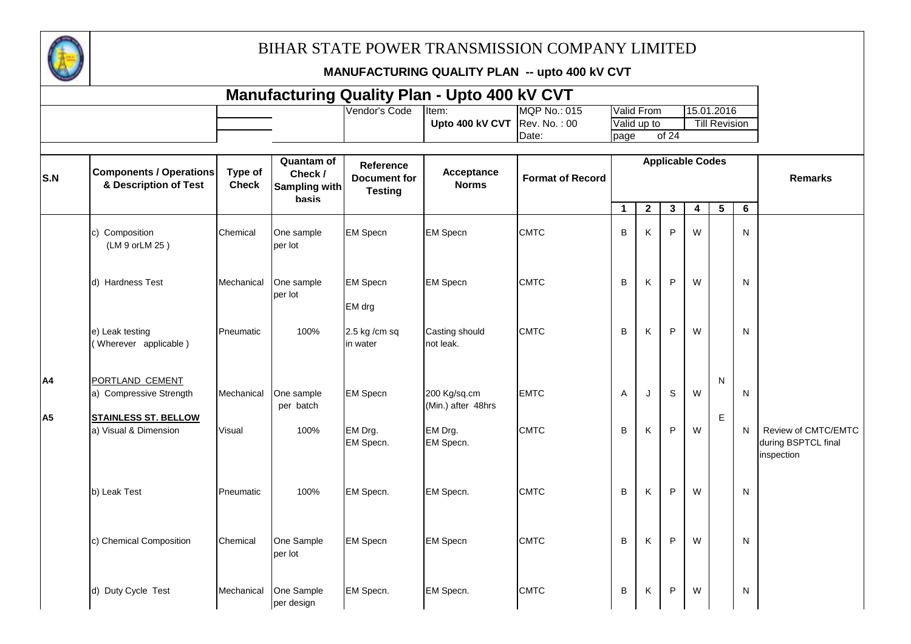

|                |                                                         |                         |                                                        |                                                    | <b>Manufacturing Quality Plan - Upto 400 kV CVT</b> |                         |              |              |                         |                         |                      |                |                                                          |
|----------------|---------------------------------------------------------|-------------------------|--------------------------------------------------------|----------------------------------------------------|-----------------------------------------------------|-------------------------|--------------|--------------|-------------------------|-------------------------|----------------------|----------------|----------------------------------------------------------|
|                |                                                         |                         |                                                        | Vendor's Code                                      | Item:                                               | <b>MQP No.: 015</b>     |              | Valid From   |                         |                         | 15.01.2016           |                |                                                          |
|                |                                                         |                         |                                                        |                                                    | Upto 400 kV CVT                                     | Rev. No.: 00<br>Date:   |              | Valid up to  | of 24                   |                         | <b>Till Revision</b> |                |                                                          |
|                |                                                         |                         |                                                        |                                                    |                                                     |                         | page         |              |                         |                         |                      |                |                                                          |
| S.N            | <b>Components / Operations</b><br>& Description of Test | Type of<br><b>Check</b> | <b>Quantam of</b><br>Check /<br>Sampling with<br>basis | Reference<br><b>Document for</b><br><b>Testing</b> | Acceptance<br><b>Norms</b>                          | <b>Format of Record</b> |              |              | <b>Applicable Codes</b> |                         |                      |                | <b>Remarks</b>                                           |
|                |                                                         |                         |                                                        |                                                    |                                                     |                         | $\mathbf{1}$ | $\mathbf{2}$ | $\mathbf{3}$            | $\overline{\mathbf{4}}$ | $5\phantom{.0}$      | $6\phantom{1}$ |                                                          |
|                | c) Composition<br>(LM 9 or LM 25)                       | Chemical                | One sample<br>per lot                                  | <b>EM Specn</b>                                    | <b>EM Specn</b>                                     | <b>CMTC</b>             | B            | K            | P                       | W                       |                      | ${\sf N}$      |                                                          |
|                | d) Hardness Test                                        | Mechanical              | One sample<br>per lot                                  | <b>EM Specn</b><br>EM drg                          | <b>EM Specn</b>                                     | <b>CMTC</b>             | B            | Κ            | P                       | W                       |                      | ${\sf N}$      |                                                          |
|                | e) Leak testing<br>(Wherever applicable)                | Pneumatic               | 100%                                                   | 2.5 kg /cm sq<br>in water                          | Casting should<br>not leak.                         | <b>CMTC</b>             | В            | Κ            | P                       | W                       |                      | N              |                                                          |
| A4             | PORTLAND CEMENT<br>a) Compressive Strength              | Mechanical              | One sample<br>per batch                                | <b>EM Specn</b>                                    | 200 Kg/sq.cm<br>(Min.) after 48hrs                  | <b>EMTC</b>             | Α            | J            | S                       | W                       | $\mathsf{N}$         | N              |                                                          |
| A <sub>5</sub> | <b>STAINLESS ST. BELLOW</b><br>a) Visual & Dimension    | Visual                  | 100%                                                   | EM Drg.<br>EM Specn.                               | EM Drg.<br>EM Specn.                                | <b>CMTC</b>             | B            | K            | P                       | W                       | $\mathsf E$          | N              | Review of CMTC/EMTC<br>during BSPTCL final<br>inspection |
|                | b) Leak Test                                            | Pneumatic               | 100%                                                   | EM Specn.                                          | EM Specn.                                           | <b>CMTC</b>             | B            | Κ            | P                       | W                       |                      | N              |                                                          |
|                | c) Chemical Composition                                 | Chemical                | One Sample<br>per lot                                  | <b>EM Specn</b>                                    | <b>EM Specn</b>                                     | <b>CMTC</b>             | В            | Κ            | $\mathsf{P}$            | W                       |                      | N              |                                                          |
|                | d) Duty Cycle Test                                      | Mechanical              | One Sample<br>per design                               | EM Specn.                                          | EM Specn.                                           | <b>CMTC</b>             | B            | Κ            | P                       | W                       |                      | N              |                                                          |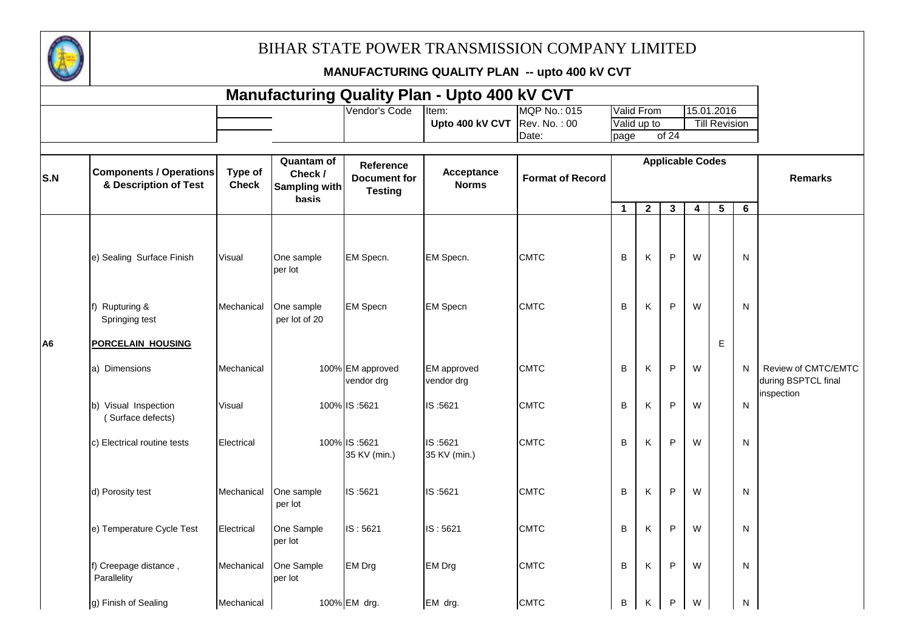

|                |                                                         |                         |                                                        |                                                           | <b>Manufacturing Quality Plan - Upto 400 kV CVT</b> |                         |             |                   |                         |   |                      |   |                                            |
|----------------|---------------------------------------------------------|-------------------------|--------------------------------------------------------|-----------------------------------------------------------|-----------------------------------------------------|-------------------------|-------------|-------------------|-------------------------|---|----------------------|---|--------------------------------------------|
|                |                                                         |                         |                                                        | Vendor's Code                                             | Item:                                               | <b>MQP No.: 015</b>     |             | <b>Valid From</b> |                         |   | 15.01.2016           |   |                                            |
|                |                                                         |                         |                                                        |                                                           | Upto 400 kV CVT                                     | Rev. No.: 00            |             | Valid up to       |                         |   | <b>Till Revision</b> |   |                                            |
|                |                                                         |                         |                                                        |                                                           |                                                     | Date:                   | page        |                   | of 24                   |   |                      |   |                                            |
| S.N            | <b>Components / Operations</b><br>& Description of Test | Type of<br><b>Check</b> | <b>Quantam of</b><br>Check /<br>Sampling with<br>basis | <b>Reference</b><br><b>Document for</b><br><b>Testing</b> | Acceptance<br><b>Norms</b>                          | <b>Format of Record</b> |             |                   | <b>Applicable Codes</b> |   |                      |   | <b>Remarks</b>                             |
|                |                                                         |                         |                                                        |                                                           |                                                     |                         | $\mathbf 1$ | $\overline{2}$    | $\mathbf{3}$            | 4 | $5\phantom{.0}$      | 6 |                                            |
|                | e) Sealing Surface Finish                               | Visual                  | One sample<br>per lot                                  | EM Specn.                                                 | EM Specn.                                           | <b>CMTC</b>             | B           | Κ                 | P                       | W |                      | N |                                            |
|                | Rupturing &<br>Springing test                           | Mechanical              | One sample<br>per lot of 20                            | <b>EM Specn</b>                                           | <b>EM Specn</b>                                     | <b>CMTC</b>             | B           | Κ                 | P                       | W |                      | N |                                            |
| A <sub>6</sub> | <b>PORCELAIN HOUSING</b>                                |                         |                                                        |                                                           |                                                     |                         |             |                   |                         |   | E                    |   |                                            |
|                | a) Dimensions                                           | Mechanical              |                                                        | 100% EM approved<br>vendor drg                            | <b>EM</b> approved<br>vendor drg                    | <b>CMTC</b>             | B           | Κ                 | P                       | W |                      | N | Review of CMTC/EMTC<br>during BSPTCL final |
|                | b) Visual Inspection<br>(Surface defects)               | Visual                  |                                                        | 100% IS:5621                                              | IS:5621                                             | <b>CMTC</b>             | B           | Κ                 | P                       | W |                      | N | inspection                                 |
|                | c) Electrical routine tests                             | Electrical              |                                                        | 100% IS:5621<br>35 KV (min.)                              | IS:5621<br>35 KV (min.)                             | <b>CMTC</b>             | B           | Κ                 | P                       | W |                      | N |                                            |
|                | d) Porosity test                                        | Mechanical              | One sample<br>per lot                                  | IS:5621                                                   | IS:5621                                             | <b>CMTC</b>             | B           | Κ                 | P                       | W |                      | N |                                            |
|                | e) Temperature Cycle Test                               | Electrical              | One Sample<br>per lot                                  | IS: 5621                                                  | IS: 5621                                            | <b>CMTC</b>             | B           | K                 | P                       | W |                      | N |                                            |
|                | f) Creepage distance,<br>Parallelity                    | Mechanical              | One Sample<br>per lot                                  | <b>EM Drg</b>                                             | <b>EM Drg</b>                                       | <b>CMTC</b>             | B           | Κ                 | P                       | W |                      | N |                                            |
|                | g) Finish of Sealing                                    | Mechanical              |                                                        | 100% EM drg.                                              | EM drg.                                             | <b>CMTC</b>             | B           | Κ                 | P                       | W |                      | N |                                            |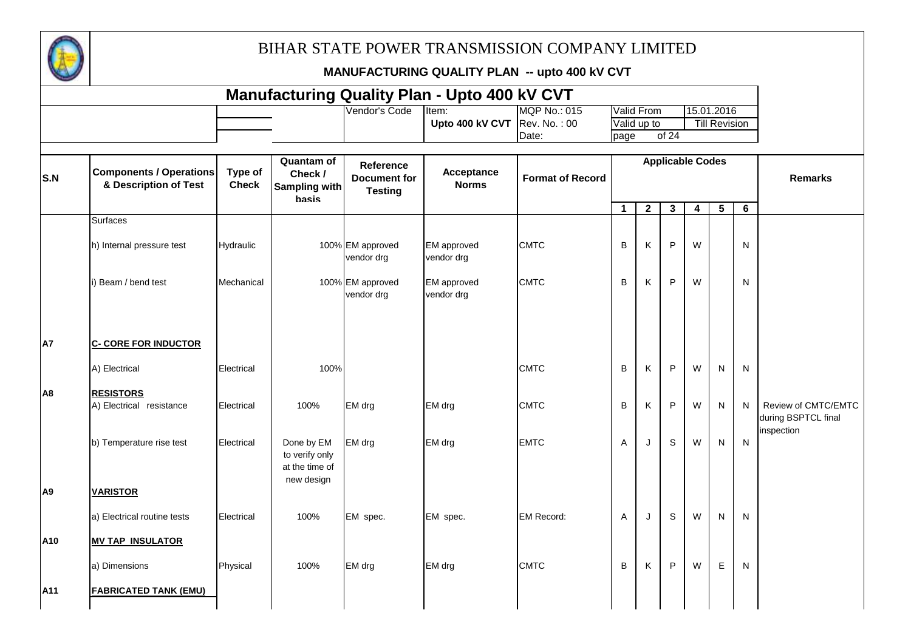

|                |                                                         |                         |                                                              |                                                           | <b>Manufacturing Quality Plan - Upto 400 kV CVT</b> |                         |              |              |                         |   |                      |              |                                                          |
|----------------|---------------------------------------------------------|-------------------------|--------------------------------------------------------------|-----------------------------------------------------------|-----------------------------------------------------|-------------------------|--------------|--------------|-------------------------|---|----------------------|--------------|----------------------------------------------------------|
|                |                                                         |                         |                                                              | Vendor's Code                                             | Item:                                               | <b>MQP No.: 015</b>     |              | Valid From   |                         |   | 15.01.2016           |              |                                                          |
|                |                                                         |                         |                                                              |                                                           | Upto 400 kV CVT $\vert$ Rev. No.: 00                |                         |              | Valid up to  |                         |   | <b>Till Revision</b> |              |                                                          |
|                |                                                         |                         |                                                              |                                                           |                                                     | Date:                   | page         |              | of 24                   |   |                      |              |                                                          |
| S.N            | <b>Components / Operations</b><br>& Description of Test | Type of<br><b>Check</b> | Quantam of<br>Check /<br>Sampling with<br><b>basis</b>       | <b>Reference</b><br><b>Document for</b><br><b>Testing</b> | Acceptance<br><b>Norms</b>                          | <b>Format of Record</b> |              |              | <b>Applicable Codes</b> |   |                      |              | <b>Remarks</b>                                           |
|                |                                                         |                         |                                                              |                                                           |                                                     |                         | $\mathbf{1}$ | $\mathbf{2}$ | $\mathbf{3}$            | 4 | 5 <sup>5</sup>       | 6            |                                                          |
|                | <b>Surfaces</b>                                         |                         |                                                              |                                                           |                                                     |                         |              |              |                         |   |                      |              |                                                          |
|                | h) Internal pressure test                               | Hydraulic               |                                                              | 100% EM approved<br>vendor drg                            | <b>EM</b> approved<br>vendor drg                    | <b>CMTC</b>             | В            | K            | P                       | W |                      | N            |                                                          |
|                | i) Beam / bend test                                     | Mechanical              |                                                              | 100% EM approved<br>vendor drg                            | <b>EM</b> approved<br>vendor drg                    | <b>CMTC</b>             | B            | Κ            | ${\sf P}$               | W |                      | N            |                                                          |
| A7             | <b>C- CORE FOR INDUCTOR</b><br>A) Electrical            | Electrical              | 100%                                                         |                                                           |                                                     | <b>CMTC</b>             | B            | K            | P                       | W | N                    | $\mathsf{N}$ |                                                          |
|                |                                                         |                         |                                                              |                                                           |                                                     |                         |              |              |                         |   |                      |              |                                                          |
| A8             | <b>RESISTORS</b><br>A) Electrical resistance            | Electrical              | 100%                                                         | EM drg                                                    | EM drg                                              | <b>CMTC</b>             | B            | K            | P                       | W | N                    | N            | Review of CMTC/EMTC<br>during BSPTCL final<br>inspection |
|                | b) Temperature rise test                                | Electrical              | Done by EM<br>to verify only<br>at the time of<br>new design | EM drg                                                    | EM drg                                              | <b>EMTC</b>             | Α            | J            | S                       | W | N.                   | $\mathsf{N}$ |                                                          |
| A <sub>9</sub> | <b>VARISTOR</b>                                         |                         |                                                              |                                                           |                                                     |                         |              |              |                         |   |                      |              |                                                          |
|                | a) Electrical routine tests                             | Electrical              | 100%                                                         | EM spec.                                                  | EM spec.                                            | <b>EM Record:</b>       | Α            | J            | $\mathbb S$             | W | N.                   | N            |                                                          |
| A10            | <b>MV TAP INSULATOR</b>                                 |                         |                                                              |                                                           |                                                     |                         |              |              |                         |   |                      |              |                                                          |
|                | a) Dimensions                                           | Physical                | 100%                                                         | EM drg                                                    | EM drg                                              | <b>CMTC</b>             | В            | Κ            | ${\sf P}$               | W | E                    | N            |                                                          |
| A11            | <b>FABRICATED TANK (EMU)</b>                            |                         |                                                              |                                                           |                                                     |                         |              |              |                         |   |                      |              |                                                          |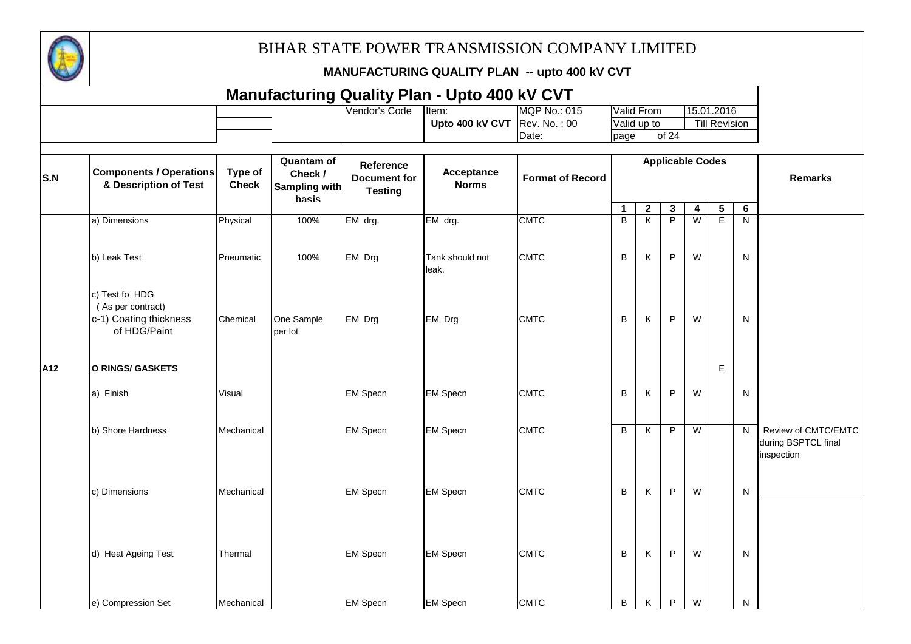

| <b>Manufacturing Quality Plan - Upto 400 kV CVT</b><br>Valid From<br>15.01.2016 |                                                                               |                         |                                                               |                                                    |                            |                         |                |                         |                         |                |                      |                |                                                          |
|---------------------------------------------------------------------------------|-------------------------------------------------------------------------------|-------------------------|---------------------------------------------------------------|----------------------------------------------------|----------------------------|-------------------------|----------------|-------------------------|-------------------------|----------------|----------------------|----------------|----------------------------------------------------------|
|                                                                                 |                                                                               |                         |                                                               | Vendor's Code                                      | Item:                      | <b>MQP No.: 015</b>     |                |                         |                         |                |                      |                |                                                          |
|                                                                                 |                                                                               |                         |                                                               |                                                    | Upto 400 kV CVT            | Rev. No.: 00            |                | Valid up to             |                         |                | <b>Till Revision</b> |                |                                                          |
|                                                                                 |                                                                               |                         |                                                               |                                                    |                            | Date:                   | page           |                         | of 24                   |                |                      |                |                                                          |
| S.N                                                                             | <b>Components / Operations</b><br>& Description of Test                       | Type of<br><b>Check</b> | <b>Quantam of</b><br>Check /<br><b>Sampling with</b><br>basis | Reference<br><b>Document for</b><br><b>Testing</b> | Acceptance<br><b>Norms</b> | <b>Format of Record</b> |                |                         | <b>Applicable Codes</b> |                |                      |                | <b>Remarks</b>                                           |
|                                                                                 |                                                                               |                         |                                                               |                                                    |                            |                         | $\mathbf{1}$   | $\mathbf{2}$            | $\mathbf 3$             | 4              | $5\phantom{.0}$      | 6              |                                                          |
|                                                                                 | a) Dimensions                                                                 | Physical                | 100%                                                          | EM drg.                                            | EM drg.                    | <b>CMTC</b>             | $\overline{B}$ | $\overline{\mathsf{K}}$ | $\overline{P}$          | $\overline{W}$ | Е                    | $\overline{N}$ |                                                          |
|                                                                                 | b) Leak Test                                                                  | Pneumatic               | 100%                                                          | EM Drg                                             | Tank should not<br>leak.   | <b>CMTC</b>             | B              | Κ                       | $\mathsf{P}$            | W              |                      | $\mathsf{N}$   |                                                          |
|                                                                                 | c) Test fo HDG<br>(As per contract)<br>c-1) Coating thickness<br>of HDG/Paint | Chemical                | One Sample<br>per lot                                         | EM Drg                                             | EM Drg                     | <b>CMTC</b>             | B              | Κ                       | $\mathsf{P}$            | W              |                      | N              |                                                          |
| A12                                                                             | <b>O RINGS/ GASKETS</b>                                                       |                         |                                                               |                                                    |                            |                         |                |                         |                         |                | $\mathsf E$          |                |                                                          |
|                                                                                 | a) Finish                                                                     | Visual                  |                                                               | <b>EM Specn</b>                                    | <b>EM Specn</b>            | <b>CMTC</b>             | B              | Κ                       | P                       | W              |                      | N              |                                                          |
|                                                                                 | b) Shore Hardness                                                             | Mechanical              |                                                               | <b>EM Specn</b>                                    | <b>EM Specn</b>            | <b>CMTC</b>             | B              | Κ                       | $\mathsf{P}$            | W              |                      | $\overline{N}$ | Review of CMTC/EMTC<br>during BSPTCL final<br>inspection |
|                                                                                 | c) Dimensions                                                                 | Mechanical              |                                                               | <b>EM Specn</b>                                    | <b>EM Specn</b>            | <b>CMTC</b>             | B              | Κ                       | $\mathsf{P}$            | W              |                      | N              |                                                          |
|                                                                                 |                                                                               |                         |                                                               |                                                    |                            |                         |                |                         |                         |                |                      |                |                                                          |
|                                                                                 | d) Heat Ageing Test                                                           | Thermal                 |                                                               | <b>EM Specn</b>                                    | <b>EM Specn</b>            | <b>CMTC</b>             | B              | Κ                       | $\mathsf{P}$            | W              |                      | N              |                                                          |
|                                                                                 | e) Compression Set                                                            | Mechanical              |                                                               | <b>EM Specn</b>                                    | <b>EM Specn</b>            | <b>CMTC</b>             | B              | Κ                       | P                       | ${\sf W}$      |                      | N              |                                                          |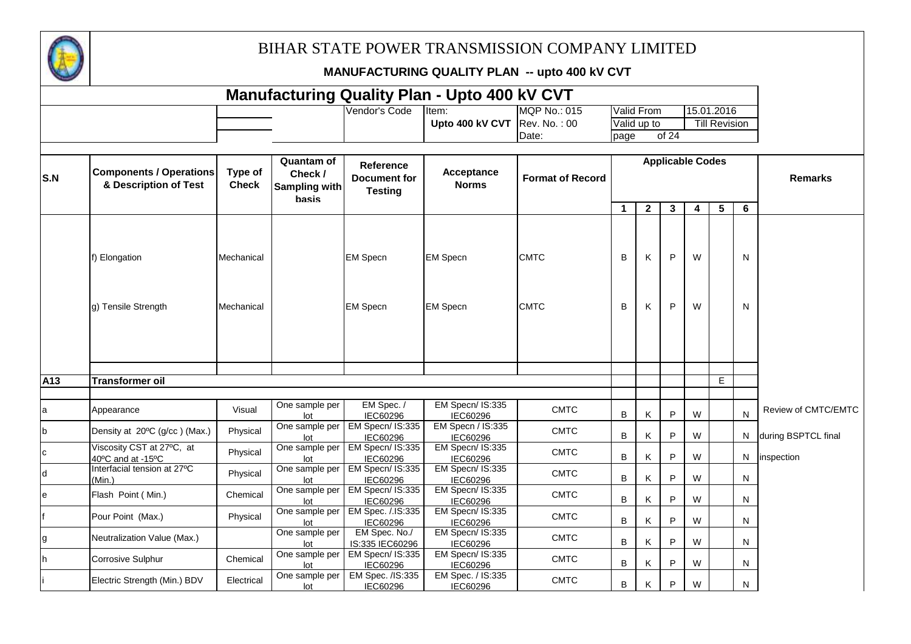

|                 |                                                         |                          |                                                        |                                                           | <b>Manufacturing Quality Plan - Upto 400 kV CVT</b> |                            |             |              |        |                         |                      |              |                     |
|-----------------|---------------------------------------------------------|--------------------------|--------------------------------------------------------|-----------------------------------------------------------|-----------------------------------------------------|----------------------------|-------------|--------------|--------|-------------------------|----------------------|--------------|---------------------|
|                 |                                                         |                          |                                                        | Vendor's Code                                             | Item:                                               | <b>MQP No.: 015</b>        | Valid From  |              |        |                         | 15.01.2016           |              |                     |
|                 |                                                         |                          |                                                        |                                                           | Upto 400 kV CVT                                     | Rev. No.: 00               | Valid up to |              |        |                         | <b>Till Revision</b> |              |                     |
|                 |                                                         |                          |                                                        |                                                           |                                                     | Date:                      | page        |              | of 24  |                         |                      |              |                     |
| S.N             | <b>Components / Operations</b><br>& Description of Test | Type of<br><b>Check</b>  | <b>Quantam of</b><br>Check /<br>Sampling with<br>basis | <b>Reference</b><br><b>Document for</b><br><b>Testing</b> | Acceptance<br><b>Norms</b>                          | <b>Format of Record</b>    |             |              |        | <b>Applicable Codes</b> |                      |              | <b>Remarks</b>      |
|                 |                                                         |                          |                                                        |                                                           |                                                     |                            | $\mathbf 1$ | $\mathbf{2}$ | 3      | 4                       | $5\phantom{.0}$      | 6            |                     |
|                 | f) Elongation<br>g) Tensile Strength                    | Mechanical<br>Mechanical |                                                        | <b>EM Specn</b><br><b>EM Specn</b>                        | <b>EM Specn</b><br><b>EM Specn</b>                  | <b>CMTC</b><br><b>CMTC</b> | В<br>В      | Κ<br>Κ       | P<br>P | W<br>W                  |                      | N<br>N       |                     |
|                 |                                                         |                          |                                                        |                                                           |                                                     |                            |             |              |        |                         |                      |              |                     |
| A <sub>13</sub> | <b>Transformer oil</b>                                  |                          |                                                        |                                                           |                                                     |                            |             |              |        |                         | E.                   |              |                     |
| la              | Appearance                                              | Visual                   | One sample per<br>lot                                  | EM Spec. /<br>IEC60296                                    | EM Specn/ IS:335<br>IEC60296                        | <b>CMTC</b>                | В           | Κ            | P      | W                       |                      | $\mathsf{N}$ | Review of CMTC/EMTC |
| b               | Density at 20°C (g/cc) (Max.)                           | Physical                 | One sample per<br>lot                                  | EM Specn/ IS:335<br>IEC60296                              | EM Specn / IS:335<br>IEC60296                       | <b>CMTC</b>                | B           | K            | P      | W                       |                      | N.           | during BSPTCL final |
| <b>c</b>        | Viscosity CST at 27°C, at<br>40°C and at -15°C          | Physical                 | One sample per<br>lot                                  | EM Specn/ IS:335<br>IEC60296                              | EM Specn/ IS:335<br>IEC60296                        | <b>CMTC</b>                | В           | Κ            | P      | W                       |                      | N            | inspection          |
| $\mathsf{d}$    | Interfacial tension at 27°C<br>(Min.)                   | Physical                 | One sample per<br>lot                                  | EM Specn/ IS:335<br>IEC60296                              | EM Specn/ IS:335<br>IEC60296                        | <b>CMTC</b>                | B           | K            | P      | W                       |                      | N            |                     |
| le              | Flash Point (Min.)                                      | Chemical                 | One sample per<br>lot                                  | EM Specn/ IS:335<br><b>IEC60296</b>                       | EM Specn/ IS:335<br>IEC60296                        | <b>CMTC</b>                | B           | K            | P      | W                       |                      | N            |                     |
| f               | Pour Point (Max.)                                       | Physical                 | One sample per<br>lot                                  | EM Spec. /.IS:335<br>IEC60296                             | EM Specn/ IS:335<br>IEC60296                        | <b>CMTC</b>                | В           | Κ            | P      | W                       |                      | N            |                     |
| g               | Neutralization Value (Max.)                             |                          | One sample per<br>lot                                  | EM Spec. No./<br>IS:335 IEC60296                          | EM Specn/ IS:335<br>IEC60296                        | <b>CMTC</b>                | В           | Κ            | P      | W                       |                      | N            |                     |
| h               | Corrosive Sulphur                                       | Chemical                 | One sample per<br>lot                                  | EM Specn/ IS:335<br>IEC60296                              | EM Specn/ IS:335<br>IEC60296                        | <b>CMTC</b>                | B           | K            | P      | W                       |                      | N            |                     |
|                 | Electric Strength (Min.) BDV                            | Electrical               | One sample per<br>lot                                  | EM Spec. /IS:335<br>IEC60296                              | EM Spec. / IS:335<br>IEC60296                       | <b>CMTC</b>                | B           | K            | P      | W                       |                      | N            |                     |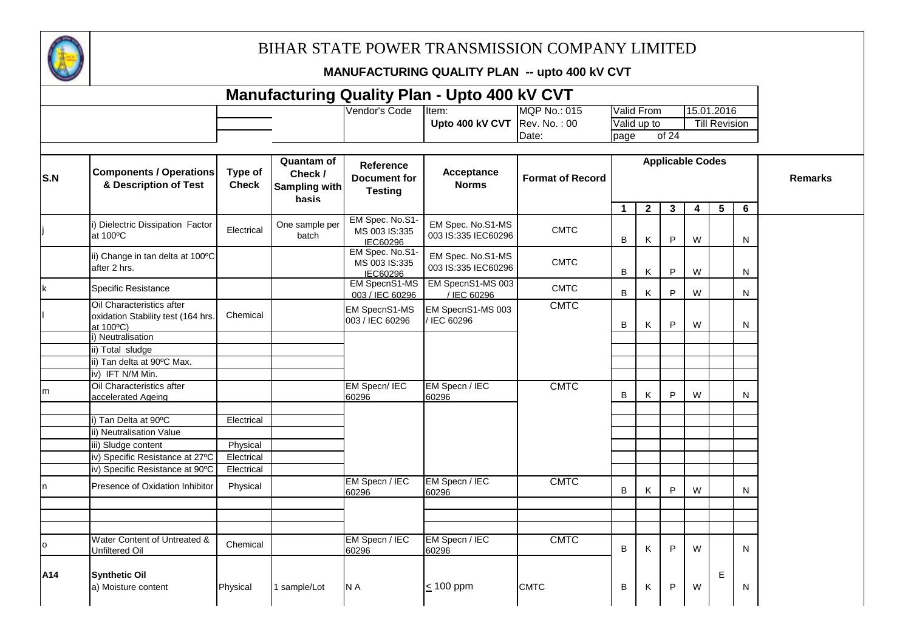

| <b>Manufacturing Quality Plan - Upto 400 kV CVT</b><br>15.01.2016<br>Valid From |                                                                              |                         |                                                               |                                                    |                                          |                         |             |              |              |                         |                      |   |                |
|---------------------------------------------------------------------------------|------------------------------------------------------------------------------|-------------------------|---------------------------------------------------------------|----------------------------------------------------|------------------------------------------|-------------------------|-------------|--------------|--------------|-------------------------|----------------------|---|----------------|
|                                                                                 |                                                                              |                         |                                                               | Vendor's Code                                      | Item:                                    | <b>MQP No.: 015</b>     |             |              |              |                         |                      |   |                |
|                                                                                 |                                                                              |                         |                                                               |                                                    | Upto 400 kV CVT                          | Rev. No.: 00            |             | Valid up to  |              |                         | <b>Till Revision</b> |   |                |
|                                                                                 |                                                                              |                         |                                                               |                                                    |                                          | Date:                   | page        |              | of 24        |                         |                      |   |                |
|                                                                                 |                                                                              |                         |                                                               |                                                    |                                          |                         |             |              |              |                         |                      |   |                |
| S.N                                                                             | <b>Components / Operations</b><br>& Description of Test                      | Type of<br><b>Check</b> | <b>Quantam of</b><br>Check /<br><b>Sampling with</b><br>hasis | Reference<br><b>Document for</b><br><b>Testing</b> | Acceptance<br><b>Norms</b>               | <b>Format of Record</b> |             |              |              | <b>Applicable Codes</b> |                      |   | <b>Remarks</b> |
|                                                                                 |                                                                              |                         |                                                               | EM Spec. No.S1-                                    |                                          |                         | $\mathbf 1$ | $\mathbf{2}$ | $\mathbf{3}$ | 4                       | 5                    | 6 |                |
|                                                                                 | i) Dielectric Dissipation Factor<br>at 100°C                                 | Electrical              | One sample per<br>batch                                       | MS 003 IS:335<br>IEC60296                          | EM Spec. No.S1-MS<br>003 IS:335 IEC60296 | <b>CMTC</b>             | В           | Κ            | P            | W                       |                      | N |                |
|                                                                                 | ii) Change in tan delta at 100°C<br>after 2 hrs.                             |                         |                                                               | EM Spec. No.S1-<br>MS 003 IS:335<br>IEC60296       | EM Spec. No.S1-MS<br>003 IS:335 IEC60296 | <b>CMTC</b>             | В           | Κ            | $\sf P$      | W                       |                      | N |                |
| $\mathsf k$                                                                     | <b>Specific Resistance</b>                                                   |                         |                                                               | EM SpecnS1-MS<br>003 / IEC 60296                   | EM SpecnS1-MS 003<br>/ IEC 60296         | <b>CMTC</b>             | B           | Κ            | P            | W                       |                      | N |                |
|                                                                                 | Oil Characteristics after<br>oxidation Stability test (164 hrs.<br>at 100°C) | Chemical                |                                                               | EM SpecnS1-MS<br>003 / IEC 60296                   | EM SpecnS1-MS 003<br>/ IEC 60296         | <b>CMTC</b>             | В           | Κ            | P            | W                       |                      | N |                |
|                                                                                 | i) Neutralisation                                                            |                         |                                                               |                                                    |                                          |                         |             |              |              |                         |                      |   |                |
|                                                                                 | ii) Total sludge                                                             |                         |                                                               |                                                    |                                          |                         |             |              |              |                         |                      |   |                |
|                                                                                 | ii) Tan delta at 90°C Max.                                                   |                         |                                                               |                                                    |                                          |                         |             |              |              |                         |                      |   |                |
|                                                                                 | iv) IFT N/M Min.                                                             |                         |                                                               |                                                    |                                          |                         |             |              |              |                         |                      |   |                |
| m                                                                               | Oil Characteristics after<br>accelerated Ageing                              |                         |                                                               | EM Specn/ IEC<br>60296                             | EM Specn / IEC<br>60296                  | <b>CMTC</b>             | B           | Κ            | P            | W                       |                      | N |                |
|                                                                                 | i) Tan Delta at 90°C                                                         | Electrical              |                                                               |                                                    |                                          |                         |             |              |              |                         |                      |   |                |
|                                                                                 | ii) Neutralisation Value                                                     |                         |                                                               |                                                    |                                          |                         |             |              |              |                         |                      |   |                |
|                                                                                 | iii) Sludge content                                                          | Physical                |                                                               |                                                    |                                          |                         |             |              |              |                         |                      |   |                |
|                                                                                 | iv) Specific Resistance at 27°C                                              | Electrical              |                                                               |                                                    |                                          |                         |             |              |              |                         |                      |   |                |
|                                                                                 | iv) Specific Resistance at 90°C                                              | Electrical              |                                                               |                                                    |                                          |                         |             |              |              |                         |                      |   |                |
| In.                                                                             | Presence of Oxidation Inhibitor                                              | Physical                |                                                               | EM Specn / IEC<br>60296                            | EM Specn / IEC<br>60296                  | <b>CMTC</b>             | B           | Κ            | P            | W                       |                      | N |                |
|                                                                                 |                                                                              |                         |                                                               |                                                    |                                          |                         |             |              |              |                         |                      |   |                |
|                                                                                 |                                                                              |                         |                                                               |                                                    |                                          |                         |             |              |              |                         |                      |   |                |
| l o                                                                             | Water Content of Untreated &<br>Unfiltered Oil                               | Chemical                |                                                               | EM Specn / IEC<br>60296                            | EM Specn / IEC<br>60296                  | <b>CMTC</b>             | B           | Κ            | $\mathsf{P}$ | W                       |                      | N |                |
| A14                                                                             | <b>Synthetic Oil</b><br>a) Moisture content                                  | Physical                | sample/Lot                                                    | N A                                                | $\leq$ 100 ppm                           | <b>CMTC</b>             | В           | Κ            | P            | W                       | E                    | N |                |
|                                                                                 |                                                                              |                         |                                                               |                                                    |                                          |                         |             |              |              |                         |                      |   |                |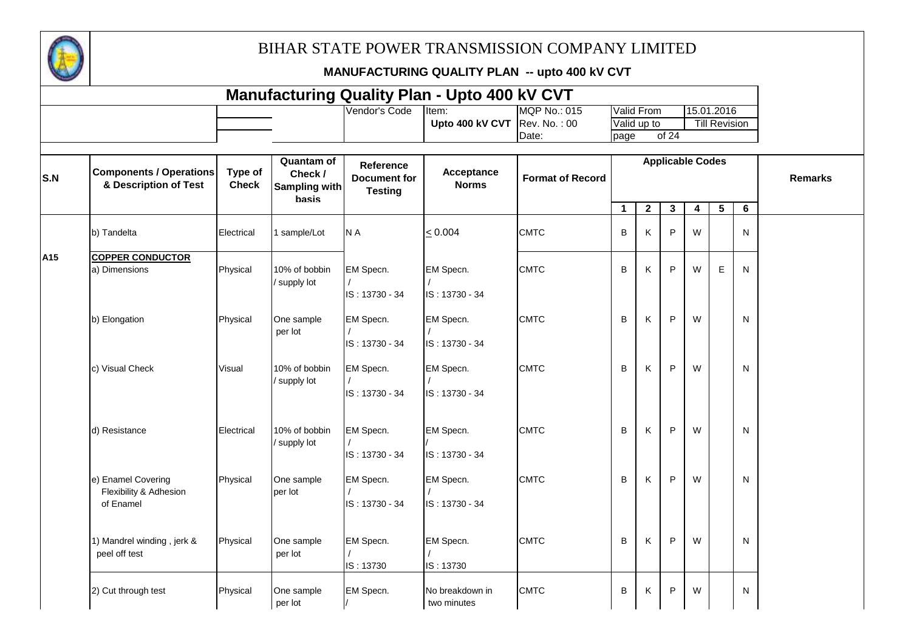

|     |                                                           |                         |                                                        |                                                           | <b>Manufacturing Quality Plan - Upto 400 kV CVT</b> |                         |                   |              |                         |                         |                         |              |                |
|-----|-----------------------------------------------------------|-------------------------|--------------------------------------------------------|-----------------------------------------------------------|-----------------------------------------------------|-------------------------|-------------------|--------------|-------------------------|-------------------------|-------------------------|--------------|----------------|
|     |                                                           |                         |                                                        | Vendor's Code                                             | Item:                                               | MQP No.: 015            | <b>Valid From</b> |              |                         |                         | 15.01.2016              |              |                |
|     |                                                           |                         |                                                        |                                                           | Upto 400 kV CVT                                     | Rev. No.: 00            | Valid up to       |              |                         |                         | <b>Till Revision</b>    |              |                |
|     |                                                           |                         |                                                        |                                                           |                                                     | Date:                   | page              |              | of 24                   |                         |                         |              |                |
| S.N | <b>Components / Operations</b><br>& Description of Test   | Type of<br><b>Check</b> | <b>Quantam of</b><br>Check /<br>Sampling with<br>basis | <b>Reference</b><br><b>Document for</b><br><b>Testing</b> | Acceptance<br><b>Norms</b>                          | <b>Format of Record</b> |                   |              | <b>Applicable Codes</b> |                         |                         |              | <b>Remarks</b> |
|     |                                                           |                         |                                                        |                                                           |                                                     |                         | $\mathbf{1}$      | $\mathbf{2}$ | $\mathbf{3}$            | $\overline{\mathbf{4}}$ | $\overline{\mathbf{5}}$ | 6            |                |
|     | b) Tandelta                                               | Electrical              | 1 sample/Lot                                           | N A                                                       | < 0.004                                             | <b>CMTC</b>             | B                 | Κ            | P                       | W                       |                         | N            |                |
| A15 | <b>COPPER CONDUCTOR</b>                                   |                         |                                                        |                                                           |                                                     |                         |                   |              |                         |                         |                         |              |                |
|     | a) Dimensions                                             | Physical                | 10% of bobbin<br>supply lot                            | EM Specn.<br>IS: 13730 - 34                               | EM Specn.<br>IS: 13730 - 34                         | <b>CMTC</b>             | B                 | Κ            | P                       | W                       | E                       | N            |                |
|     | b) Elongation                                             | Physical                | One sample<br>per lot                                  | EM Specn.<br>IS: 13730 - 34                               | EM Specn.<br>IS: 13730 - 34                         | <b>CMTC</b>             | B                 | κ            | P                       | W                       |                         | N            |                |
|     | c) Visual Check                                           | Visual                  | 10% of bobbin<br>supply lot                            | EM Specn.<br>IS: 13730 - 34                               | EM Specn.<br>IS: 13730 - 34                         | <b>CMTC</b>             | B                 | Κ            | P                       | W                       |                         | N            |                |
|     | d) Resistance                                             | Electrical              | 10% of bobbin<br>supply lot                            | EM Specn.<br>IS: 13730 - 34                               | EM Specn.<br>IS: 13730 - 34                         | <b>CMTC</b>             | B                 | Κ            | P                       | W                       |                         | N            |                |
|     | e) Enamel Covering<br>Flexibility & Adhesion<br>of Enamel | Physical                | One sample<br>per lot                                  | EM Specn.<br>IS: 13730 - 34                               | EM Specn.<br>IS: 13730 - 34                         | <b>CMTC</b>             | B                 | Κ            | P                       | W                       |                         | N            |                |
|     | 1) Mandrel winding, jerk &<br>peel off test               | Physical                | One sample<br>per lot                                  | EM Specn.<br>IS: 13730                                    | EM Specn.<br>IS: 13730                              | <b>CMTC</b>             | B                 | Κ            | P                       | W                       |                         | N            |                |
|     | 2) Cut through test                                       | Physical                | One sample<br>per lot                                  | EM Specn.                                                 | No breakdown in<br>two minutes                      | <b>CMTC</b>             | B                 | Κ            | P                       | W                       |                         | $\mathsf{N}$ |                |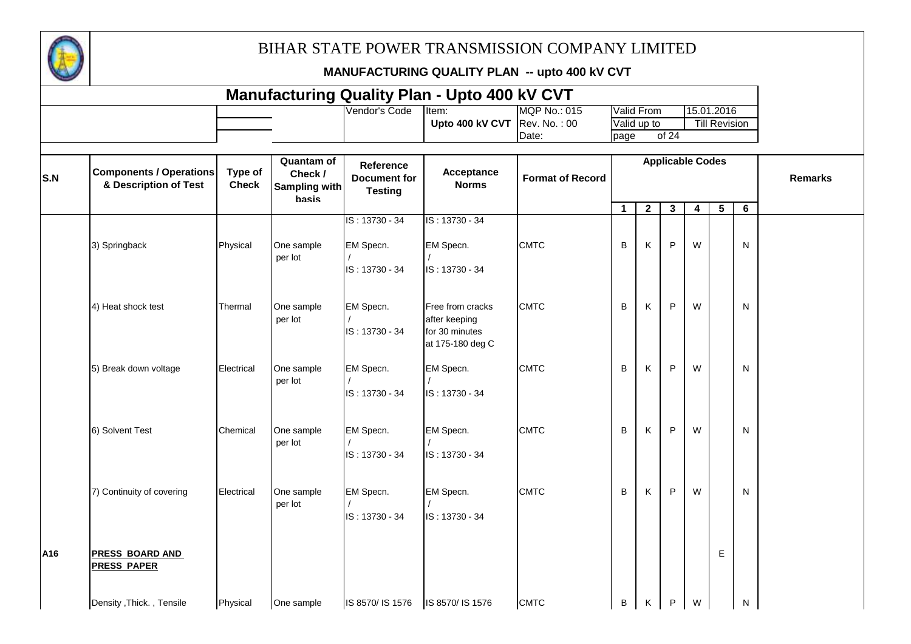

|     |                                                         |                         |                                                        |                                                    | <b>Manufacturing Quality Plan - Upto 400 kV CVT</b> |                         |              |              |                         |                         |                      |                |                |
|-----|---------------------------------------------------------|-------------------------|--------------------------------------------------------|----------------------------------------------------|-----------------------------------------------------|-------------------------|--------------|--------------|-------------------------|-------------------------|----------------------|----------------|----------------|
|     |                                                         |                         |                                                        | Vendor's Code                                      | Item:                                               | <b>MQP No.: 015</b>     |              | Valid From   |                         |                         | 15.01.2016           |                |                |
|     |                                                         |                         |                                                        |                                                    | Upto 400 kV CVT                                     | Rev. No.: 00            |              | Valid up to  |                         |                         | <b>Till Revision</b> |                |                |
|     |                                                         |                         |                                                        |                                                    |                                                     | Date:                   | page         |              | of 24                   |                         |                      |                |                |
|     |                                                         |                         |                                                        |                                                    |                                                     |                         |              |              |                         |                         |                      |                |                |
| S.N | <b>Components / Operations</b><br>& Description of Test | Type of<br><b>Check</b> | Quantam of<br>Check /<br><b>Sampling with</b><br>basis | Reference<br><b>Document for</b><br><b>Testing</b> | Acceptance<br><b>Norms</b>                          | <b>Format of Record</b> |              |              | <b>Applicable Codes</b> |                         |                      |                | <b>Remarks</b> |
|     |                                                         |                         |                                                        |                                                    |                                                     |                         | $\mathbf{1}$ | $\mathbf{2}$ | $\overline{\mathbf{3}}$ | $\overline{\mathbf{4}}$ | $\overline{5}$       | $6\phantom{1}$ |                |
|     |                                                         |                         |                                                        | IS: 13730 - 34                                     | IS: 13730 - 34                                      |                         |              |              |                         |                         |                      |                |                |
|     | 3) Springback                                           | Physical                | One sample<br>per lot                                  | EM Specn.<br>IS: 13730 - 34                        | EM Specn.<br>IS: 13730 - 34                         | <b>CMTC</b>             | B            | Κ            | P                       | W                       |                      | N              |                |
|     |                                                         |                         |                                                        |                                                    |                                                     |                         |              |              |                         |                         |                      |                |                |
|     | 4) Heat shock test                                      | Thermal                 | One sample                                             | EM Specn.                                          | Free from cracks                                    | <b>CMTC</b>             | B            | Κ            | P                       | W                       |                      | N              |                |
|     |                                                         |                         | per lot                                                | IS: 13730 - 34                                     | after keeping<br>for 30 minutes<br>at 175-180 deg C |                         |              |              |                         |                         |                      |                |                |
|     | 5) Break down voltage                                   | Electrical              | One sample<br>per lot                                  | EM Specn.<br>IS: 13730 - 34                        | EM Specn.                                           | <b>CMTC</b>             | B            | Κ            | P                       | W                       |                      | N              |                |
|     |                                                         |                         |                                                        |                                                    | IS: 13730 - 34                                      |                         |              |              |                         |                         |                      |                |                |
|     | 6) Solvent Test                                         | Chemical                | One sample<br>per lot                                  | EM Specn.                                          | EM Specn.                                           | <b>CMTC</b>             | B            | Κ            | P                       | W                       |                      | N              |                |
|     |                                                         |                         |                                                        | IS: 13730 - 34                                     | IS: 13730 - 34                                      |                         |              |              |                         |                         |                      |                |                |
|     | 7) Continuity of covering                               | Electrical              | One sample                                             | EM Specn.                                          | EM Specn.                                           | <b>CMTC</b>             | B            | Κ            | P                       | W                       |                      | N              |                |
|     |                                                         |                         | per lot                                                | IS: 13730 - 34                                     | IS: 13730 - 34                                      |                         |              |              |                         |                         |                      |                |                |
| A16 | <b>PRESS BOARD AND</b><br><b>PRESS PAPER</b>            |                         |                                                        |                                                    |                                                     |                         |              |              |                         |                         | E                    |                |                |
|     | Density , Thick., Tensile                               | Physical                | One sample                                             | IS 8570/ IS 1576                                   | IS 8570/ IS 1576                                    | <b>CMTC</b>             | B            | K.           | P                       | W                       |                      | N              |                |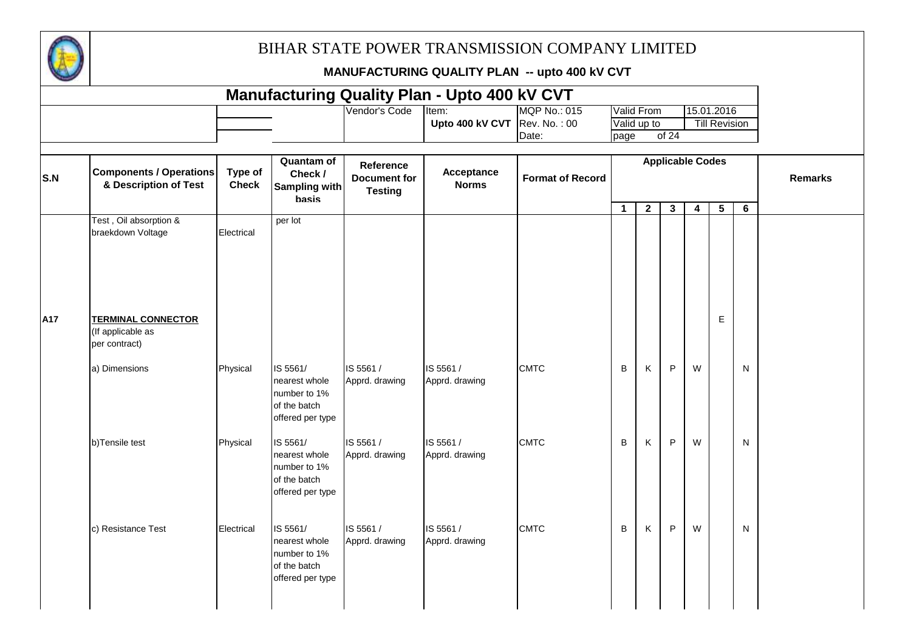

|     |                                                                 |                         |                                                                               |                                                           | <b>Manufacturing Quality Plan - Upto 400 kV CVT</b> |                              |              |                           |                         |   |                                    |   |                |
|-----|-----------------------------------------------------------------|-------------------------|-------------------------------------------------------------------------------|-----------------------------------------------------------|-----------------------------------------------------|------------------------------|--------------|---------------------------|-------------------------|---|------------------------------------|---|----------------|
|     |                                                                 |                         |                                                                               | Vendor's Code                                             | Item:<br>Upto 400 kV CVT $\vert$ Rev. No.: 00       | <b>MQP No.: 015</b><br>Date: | page         | Valid From<br>Valid up to | of 24                   |   | 15.01.2016<br><b>Till Revision</b> |   |                |
| S.N | <b>Components / Operations</b><br>& Description of Test         | Type of<br><b>Check</b> | Quantam of<br>Check /<br><b>Sampling with</b><br><b>basis</b>                 | <b>Reference</b><br><b>Document for</b><br><b>Testing</b> | Acceptance<br><b>Norms</b>                          | <b>Format of Record</b>      |              |                           | <b>Applicable Codes</b> |   |                                    |   | <b>Remarks</b> |
|     | Test, Oil absorption &<br>braekdown Voltage                     | Electrical              | per lot                                                                       |                                                           |                                                     |                              | $\mathbf{1}$ | $\overline{2}$            | $\mathbf{3}$            | 4 | 5 <sup>5</sup>                     | 6 |                |
| A17 | <b>TERMINAL CONNECTOR</b><br>(If applicable as<br>per contract) |                         |                                                                               |                                                           |                                                     |                              |              |                           |                         |   | $\mathsf E$                        |   |                |
|     | a) Dimensions                                                   | Physical                | IS 5561/<br>nearest whole<br>number to 1%<br>of the batch<br>offered per type | IS 5561 /<br>Apprd. drawing                               | IS 5561 /<br>Apprd. drawing                         | <b>CMTC</b>                  | B            | Κ                         | P                       | W |                                    | N |                |
|     | b)Tensile test                                                  | Physical                | IS 5561/<br>nearest whole<br>number to 1%<br>of the batch<br>offered per type | IS 5561 /<br>Apprd. drawing                               | IS 5561 /<br>Apprd. drawing                         | <b>CMTC</b>                  | B            | K                         | P                       | W |                                    | N |                |
|     | c) Resistance Test                                              | Electrical              | IS 5561/<br>nearest whole<br>number to 1%<br>of the batch<br>offered per type | IS 5561 /<br>Apprd. drawing                               | IS 5561 /<br>Apprd. drawing                         | <b>CMTC</b>                  | В            | K                         | $\sf P$                 | W |                                    | N |                |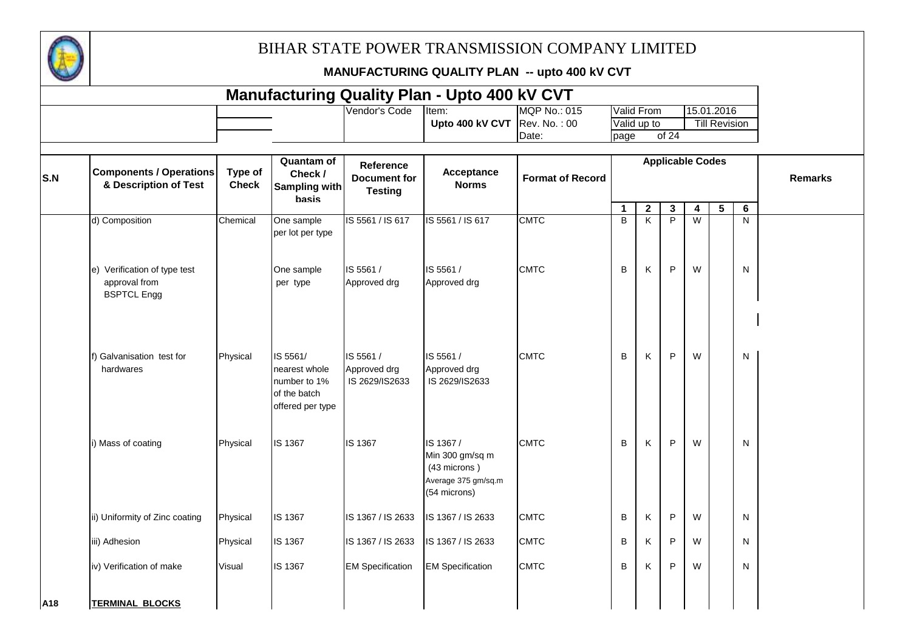

|     |                                                                     |                         |                                                                               |                                                    | <b>Manufacturing Quality Plan - Upto 400 kV CVT</b>                                 |                         |              |                         |                         |                         |                      |   |                |
|-----|---------------------------------------------------------------------|-------------------------|-------------------------------------------------------------------------------|----------------------------------------------------|-------------------------------------------------------------------------------------|-------------------------|--------------|-------------------------|-------------------------|-------------------------|----------------------|---|----------------|
|     |                                                                     |                         |                                                                               | Vendor's Code                                      | Item:                                                                               | <b>MQP No.: 015</b>     |              | Valid From              |                         |                         | 15.01.2016           |   |                |
|     |                                                                     |                         |                                                                               |                                                    | Upto 400 kV CVT                                                                     | Rev. No.: 00            |              | Valid up to             |                         |                         | <b>Till Revision</b> |   |                |
|     |                                                                     |                         |                                                                               |                                                    |                                                                                     | Date:                   | page         |                         | of 24                   |                         |                      |   |                |
| S.N | <b>Components / Operations</b><br>& Description of Test             | Type of<br><b>Check</b> | <b>Quantam of</b><br>Check /<br>Sampling with<br>basis                        | Reference<br><b>Document for</b><br><b>Testing</b> | Acceptance<br><b>Norms</b>                                                          | <b>Format of Record</b> |              |                         | <b>Applicable Codes</b> |                         |                      |   | <b>Remarks</b> |
|     |                                                                     |                         |                                                                               |                                                    |                                                                                     |                         | $\mathbf{1}$ | $\mathbf{2}$            | $\mathbf{3}$            | $\overline{\mathbf{4}}$ | $5\phantom{.0}$      | 6 |                |
|     | d) Composition                                                      | Chemical                | One sample<br>per lot per type                                                | IS 5561 / IS 617                                   | IS 5561 / IS 617                                                                    | <b>CMTC</b>             | B            | $\overline{\mathsf{K}}$ | $\overline{P}$          | $\overline{W}$          |                      | N |                |
|     | e) Verification of type test<br>approval from<br><b>BSPTCL Engg</b> |                         | One sample<br>per type                                                        | IS 5561 /<br>Approved drg                          | IS 5561 /<br>Approved drg                                                           | <b>CMTC</b>             | B            | K                       | P                       | W                       |                      | N |                |
|     | f) Galvanisation test for<br>hardwares                              | Physical                | IS 5561/<br>nearest whole<br>number to 1%<br>of the batch<br>offered per type | IS 5561 /<br>Approved drg<br>IS 2629/IS2633        | IS 5561 /<br>Approved drg<br>IS 2629/IS2633                                         | <b>CMTC</b>             | B            | Κ                       | P                       | W                       |                      | N |                |
|     | i) Mass of coating                                                  | Physical                | <b>IS 1367</b>                                                                | IS 1367                                            | IS 1367 /<br>Min 300 gm/sq m<br>(43 microns)<br>Average 375 gm/sq.m<br>(54 microns) | <b>CMTC</b>             | B            | K                       | P                       | W                       |                      | N |                |
|     | ii) Uniformity of Zinc coating                                      | Physical                | IS 1367                                                                       | IS 1367 / IS 2633                                  | IS 1367 / IS 2633                                                                   | <b>CMTC</b>             | B            | K                       | P                       | W                       |                      | N |                |
|     | iii) Adhesion                                                       | Physical                | IS 1367                                                                       | IS 1367 / IS 2633                                  | IS 1367 / IS 2633                                                                   | <b>CMTC</b>             | B            | K                       | P                       | W                       |                      | N |                |
|     | iv) Verification of make                                            | Visual                  | IS 1367                                                                       | <b>EM Specification</b>                            | <b>EM Specification</b>                                                             | <b>CMTC</b>             | B            | K                       | P                       | W                       |                      | N |                |
| A18 | <b>TERMINAL BLOCKS</b>                                              |                         |                                                                               |                                                    |                                                                                     |                         |              |                         |                         |                         |                      |   |                |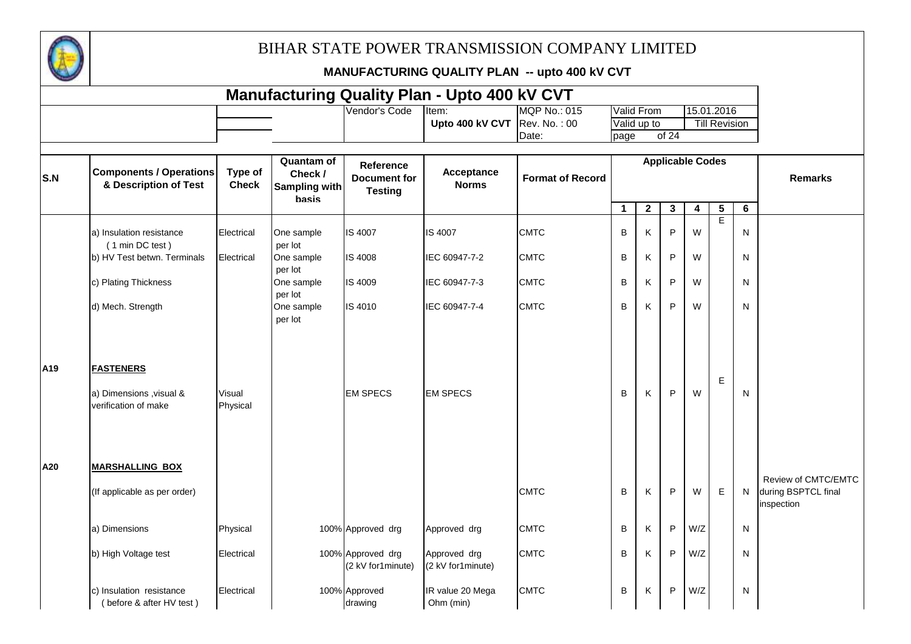

|                 |                                                                      |                         |                                                 |                                                           | <b>Manufacturing Quality Plan - Upto 400 kV CVT</b> |                              |             |                           |       |                         |                                    |   |                                   |
|-----------------|----------------------------------------------------------------------|-------------------------|-------------------------------------------------|-----------------------------------------------------------|-----------------------------------------------------|------------------------------|-------------|---------------------------|-------|-------------------------|------------------------------------|---|-----------------------------------|
|                 |                                                                      |                         |                                                 | Vendor's Code                                             | Item:<br>Upto 400 kV CVT $\vert$ Rev. No.: 00       | <b>MQP No.: 015</b><br>Date: | page        | Valid From<br>Valid up to | of 24 |                         | 15.01.2016<br><b>Till Revision</b> |   |                                   |
| S.N             | <b>Components / Operations</b><br>& Description of Test              | Type of<br><b>Check</b> | Quantam of<br>Check /<br>Sampling with<br>basis | <b>Reference</b><br><b>Document for</b><br><b>Testing</b> | Acceptance<br><b>Norms</b>                          | <b>Format of Record</b>      |             |                           |       | <b>Applicable Codes</b> |                                    |   | <b>Remarks</b>                    |
|                 |                                                                      |                         |                                                 |                                                           |                                                     |                              | $\mathbf 1$ | $\boldsymbol{2}$          | 3     | 4                       | $5\phantom{.0}$                    | 6 |                                   |
|                 | a) Insulation resistance<br>(1 min DC test)                          | Electrical              | One sample<br>per lot                           | IS 4007                                                   | <b>IS 4007</b>                                      | <b>CMTC</b>                  | $\sf B$     | Κ                         | P     | W                       | $\overline{E}$                     | N |                                   |
|                 | b) HV Test betwn. Terminals                                          | Electrical              | One sample                                      | IS 4008                                                   | IEC 60947-7-2                                       | <b>CMTC</b>                  | B           | Κ                         | P     | W                       |                                    | N |                                   |
|                 | c) Plating Thickness                                                 |                         | per lot<br>One sample<br>per lot                | IS 4009                                                   | IEC 60947-7-3                                       | <b>CMTC</b>                  | B           | K                         | P     | W                       |                                    | N |                                   |
|                 | d) Mech. Strength                                                    |                         | One sample<br>per lot                           | IS 4010                                                   | IEC 60947-7-4                                       | <b>CMTC</b>                  | $\sf B$     | K                         | P     | W                       |                                    | N |                                   |
| A <sub>19</sub> | <b>FASTENERS</b><br>a) Dimensions , visual &<br>verification of make | Visual<br>Physical      |                                                 | <b>EM SPECS</b>                                           | <b>EM SPECS</b>                                     |                              | B           | Κ                         | P     | W                       | Е                                  | N |                                   |
| A20             | <b>MARSHALLING BOX</b>                                               |                         |                                                 |                                                           |                                                     |                              |             |                           |       |                         |                                    |   | Review of CMTC/EMTC               |
|                 | (If applicable as per order)                                         |                         |                                                 |                                                           |                                                     | <b>CMTC</b>                  | B           | K                         | P     | W                       | E                                  | N | during BSPTCL final<br>inspection |
|                 | a) Dimensions                                                        | Physical                |                                                 | 100% Approved drg                                         | Approved drg                                        | <b>CMTC</b>                  | $\sf B$     | K                         | P     | W/Z                     |                                    | N |                                   |
|                 | b) High Voltage test                                                 | Electrical              |                                                 | 100% Approved drg<br>(2 kV for1minute)                    | Approved drg<br>(2 kV for1minute)                   | <b>CMTC</b>                  | B           | Κ                         | P     | W/Z                     |                                    | N |                                   |
|                 | c) Insulation resistance<br>(before & after HV test)                 | Electrical              |                                                 | 100% Approved<br>drawing                                  | IR value 20 Mega<br>Ohm (min)                       | <b>CMTC</b>                  | B           | K                         | P     | W/Z                     |                                    | N |                                   |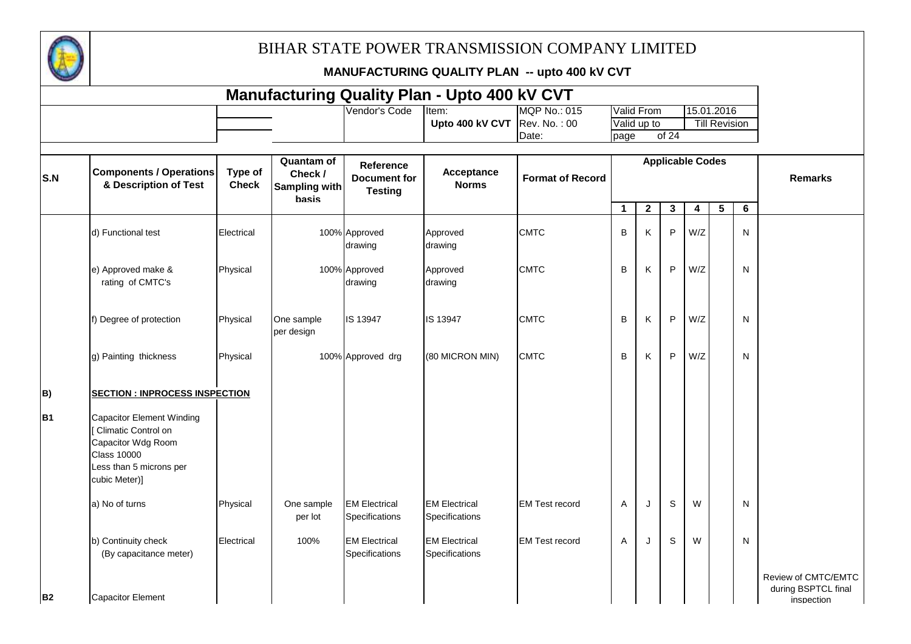

|                |                                                                                                                                                 |                         |                                                 |                                                           | <b>Manufacturing Quality Plan - Upto 400 kV CVT</b> |                         |             |                   |       |                         |                      |                |                                                          |
|----------------|-------------------------------------------------------------------------------------------------------------------------------------------------|-------------------------|-------------------------------------------------|-----------------------------------------------------------|-----------------------------------------------------|-------------------------|-------------|-------------------|-------|-------------------------|----------------------|----------------|----------------------------------------------------------|
|                |                                                                                                                                                 |                         |                                                 | Vendor's Code                                             | Item:                                               | <b>MQP No.: 015</b>     |             | <b>Valid From</b> |       |                         | 15.01.2016           |                |                                                          |
|                |                                                                                                                                                 |                         |                                                 |                                                           | Upto 400 kV CVT Rev. No.: 00                        | Date:                   | page        | Valid up to       | of 24 |                         | <b>Till Revision</b> |                |                                                          |
| S.N            | <b>Components / Operations</b><br>& Description of Test                                                                                         | Type of<br><b>Check</b> | Quantam of<br>Check /<br>Sampling with<br>basis | <b>Reference</b><br><b>Document for</b><br><b>Testing</b> | Acceptance<br><b>Norms</b>                          | <b>Format of Record</b> |             |                   |       | <b>Applicable Codes</b> |                      |                | <b>Remarks</b>                                           |
|                |                                                                                                                                                 |                         |                                                 |                                                           |                                                     |                         | $\mathbf 1$ | $\mathbf{2}$      | 3     | 4                       | $5\phantom{.0}$      | $6\phantom{1}$ |                                                          |
|                | d) Functional test                                                                                                                              | Electrical              |                                                 | 100% Approved<br>drawing                                  | Approved<br>drawing                                 | <b>CMTC</b>             | B           | Κ                 | P     | W/Z                     |                      | ${\sf N}$      |                                                          |
|                | e) Approved make &<br>rating of CMTC's                                                                                                          | Physical                |                                                 | 100% Approved<br>drawing                                  | Approved<br>drawing                                 | <b>CMTC</b>             | B           | Κ                 | P     | W/Z                     |                      | ${\sf N}$      |                                                          |
|                | f) Degree of protection                                                                                                                         | Physical                | One sample<br>per design                        | IS 13947                                                  | IS 13947                                            | <b>CMTC</b>             | B           | Κ                 | P     | W/Z                     |                      | ${\sf N}$      |                                                          |
|                | g) Painting thickness                                                                                                                           | Physical                |                                                 | 100% Approved drg                                         | (80 MICRON MIN)                                     | <b>CMTC</b>             | B           | Κ                 | P     | W/Z                     |                      | ${\sf N}$      |                                                          |
| B)             | <b>SECTION : INPROCESS INSPECTION</b>                                                                                                           |                         |                                                 |                                                           |                                                     |                         |             |                   |       |                         |                      |                |                                                          |
| <b>B1</b>      | <b>Capacitor Element Winding</b><br>Climatic Control on<br>Capacitor Wdg Room<br><b>Class 10000</b><br>Less than 5 microns per<br>cubic Meter)] |                         |                                                 |                                                           |                                                     |                         |             |                   |       |                         |                      |                |                                                          |
|                | a) No of turns                                                                                                                                  | Physical                | One sample<br>per lot                           | <b>EM Electrical</b><br>Specifications                    | <b>EM Electrical</b><br>Specifications              | <b>EM Test record</b>   | A           | J                 | S     | W                       |                      | N              |                                                          |
|                | b) Continuity check<br>(By capacitance meter)                                                                                                   | Electrical              | 100%                                            | <b>EM Electrical</b><br>Specifications                    | <b>EM Electrical</b><br>Specifications              | <b>EM Test record</b>   | A           | J                 | S     | W                       |                      | ${\sf N}$      |                                                          |
| B <sub>2</sub> | Capacitor Element                                                                                                                               |                         |                                                 |                                                           |                                                     |                         |             |                   |       |                         |                      |                | Review of CMTC/EMTC<br>during BSPTCL final<br>inspection |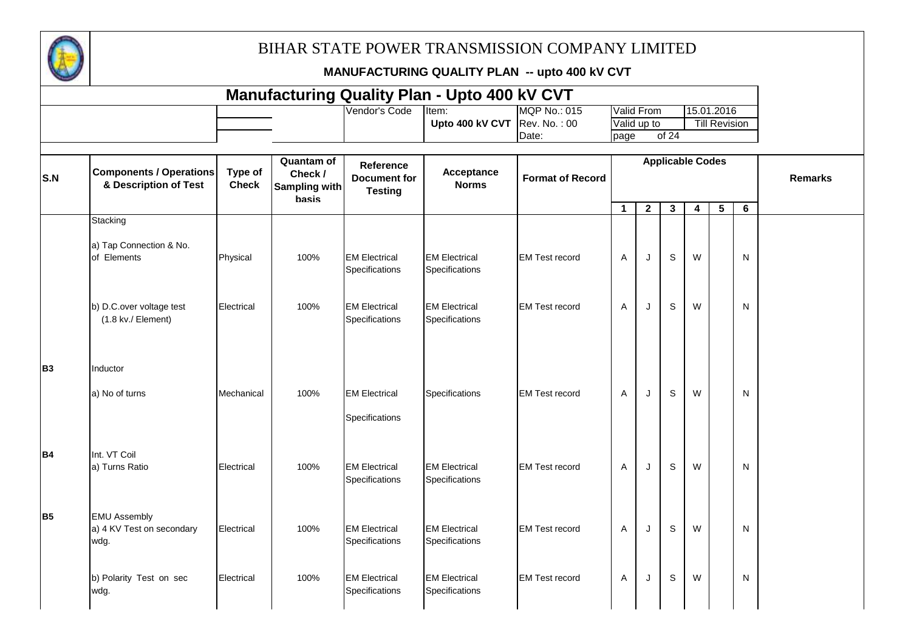

|                |                                                          |                         |                                                               |                                                    | <b>Manufacturing Quality Plan - Upto 400 kV CVT</b> |                                              |              |                           |                         |   |                                    |   |                |
|----------------|----------------------------------------------------------|-------------------------|---------------------------------------------------------------|----------------------------------------------------|-----------------------------------------------------|----------------------------------------------|--------------|---------------------------|-------------------------|---|------------------------------------|---|----------------|
|                |                                                          |                         |                                                               | Vendor's Code                                      | Item:<br>Upto 400 kV CVT                            | <b>MQP No.: 015</b><br>Rev. No.: 00<br>Date: | page         | Valid From<br>Valid up to | of 24                   |   | 15.01.2016<br><b>Till Revision</b> |   |                |
| S.N            | <b>Components / Operations</b><br>& Description of Test  | Type of<br><b>Check</b> | <b>Quantam of</b><br>Check /<br>Sampling with<br><b>basis</b> | Reference<br><b>Document for</b><br><b>Testing</b> | Acceptance<br><b>Norms</b>                          | <b>Format of Record</b>                      |              |                           | <b>Applicable Codes</b> |   |                                    |   | <b>Remarks</b> |
|                | Stacking                                                 |                         |                                                               |                                                    |                                                     |                                              | $\mathbf{1}$ | $\overline{2}$            | $\mathbf{3}$            | 4 | $5\phantom{.0}$                    | 6 |                |
|                | a) Tap Connection & No.<br>of Elements                   | Physical                | 100%                                                          | <b>EM Electrical</b><br>Specifications             | <b>EM Electrical</b><br>Specifications              | <b>EM Test record</b>                        | A            | J                         | S                       | W |                                    | N |                |
|                | b) D.C.over voltage test<br>(1.8 kv./ Element)           | Electrical              | 100%                                                          | <b>EM Electrical</b><br>Specifications             | <b>EM Electrical</b><br>Specifications              | <b>EM Test record</b>                        | A            | J                         | S                       | W |                                    | N |                |
| B <sub>3</sub> | Inductor<br>a) No of turns                               | Mechanical              | 100%                                                          | <b>EM Electrical</b><br>Specifications             | Specifications                                      | <b>EM Test record</b>                        | A            | J                         | S                       | W |                                    | N |                |
| <b>B4</b>      | Int. VT Coil<br>a) Turns Ratio                           | Electrical              | 100%                                                          | <b>EM Electrical</b><br>Specifications             | <b>EM Electrical</b><br>Specifications              | <b>EM Test record</b>                        | A            | J                         | S                       | W |                                    | N |                |
| <b>B5</b>      | <b>EMU Assembly</b><br>a) 4 KV Test on secondary<br>wdg. | Electrical              | 100%                                                          | <b>EM Electrical</b><br>Specifications             | <b>EM Electrical</b><br>Specifications              | <b>EM Test record</b>                        | A            | J                         | S                       | W |                                    | N |                |
|                | b) Polarity Test on sec<br>wdg.                          | Electrical              | 100%                                                          | <b>EM Electrical</b><br>Specifications             | <b>EM Electrical</b><br>Specifications              | <b>EM Test record</b>                        | Α            | J                         | S                       | W |                                    | N |                |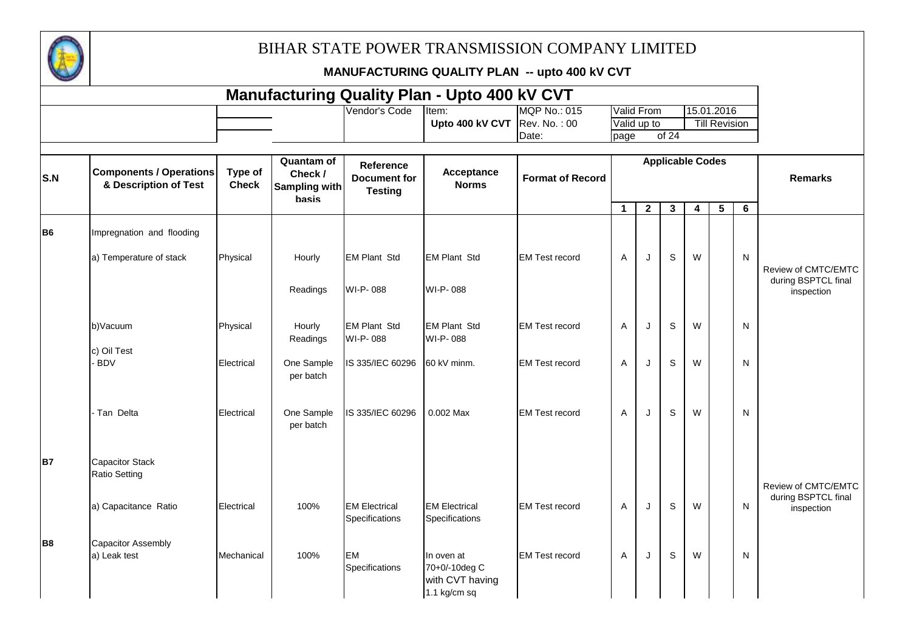

|                |                                                         |                         |                                                               |                                                           | <b>Manufacturing Quality Plan - Upto 400 kV CVT</b>            |                         |              |                   |                         |   |                      |                |                                            |
|----------------|---------------------------------------------------------|-------------------------|---------------------------------------------------------------|-----------------------------------------------------------|----------------------------------------------------------------|-------------------------|--------------|-------------------|-------------------------|---|----------------------|----------------|--------------------------------------------|
|                |                                                         |                         |                                                               | Vendor's Code                                             | Item:                                                          | MQP No.: 015            |              | <b>Valid From</b> |                         |   | 15.01.2016           |                |                                            |
|                |                                                         |                         |                                                               |                                                           | Upto 400 kV CVT                                                | Rev. No.: 00            |              | Valid up to       |                         |   | <b>Till Revision</b> |                |                                            |
|                |                                                         |                         |                                                               |                                                           |                                                                | Date:                   | page         |                   | of 24                   |   |                      |                |                                            |
| S.N            | <b>Components / Operations</b><br>& Description of Test | Type of<br><b>Check</b> | <b>Quantam of</b><br>Check /<br>Sampling with<br><b>basis</b> | <b>Reference</b><br><b>Document for</b><br><b>Testing</b> | Acceptance<br><b>Norms</b>                                     | <b>Format of Record</b> |              |                   | <b>Applicable Codes</b> |   |                      |                | <b>Remarks</b>                             |
|                |                                                         |                         |                                                               |                                                           |                                                                |                         | $\mathbf{1}$ | $\mathbf{2}$      | 3                       | 4 | $5\phantom{.0}$      | $6\phantom{1}$ |                                            |
| B <sub>6</sub> | Impregnation and flooding                               |                         |                                                               |                                                           |                                                                |                         |              |                   |                         |   |                      |                |                                            |
|                | a) Temperature of stack                                 | Physical                | Hourly                                                        | <b>EM Plant Std</b>                                       | <b>EM Plant Std</b>                                            | <b>EM Test record</b>   | A            | J                 | S                       | W |                      | N              | Review of CMTC/EMTC<br>during BSPTCL final |
|                |                                                         |                         | Readings                                                      | WI-P-088                                                  | WI-P-088                                                       |                         |              |                   |                         |   |                      |                | inspection                                 |
|                | b)Vacuum<br>c) Oil Test                                 | Physical                | Hourly<br>Readings                                            | <b>EM Plant Std</b><br>WI-P-088                           | <b>EM Plant Std</b><br>WI-P-088                                | <b>EM Test record</b>   | A            | J                 | $\mathbb S$             | W |                      | $\mathsf{N}$   |                                            |
|                | <b>BDV</b>                                              | Electrical              | One Sample<br>per batch                                       | IS 335/IEC 60296                                          | 60 kV minm.                                                    | <b>EM Test record</b>   | A            | J                 | $\mathbb S$             | W |                      | $\mathsf{N}$   |                                            |
|                | Tan Delta                                               | Electrical              | One Sample<br>per batch                                       | IS 335/IEC 60296                                          | 0.002 Max                                                      | <b>EM Test record</b>   | A            | J                 | $\mathbb S$             | W |                      | N              |                                            |
| <b>B7</b>      | <b>Capacitor Stack</b><br><b>Ratio Setting</b>          |                         |                                                               |                                                           |                                                                |                         |              |                   |                         |   |                      |                | Review of CMTC/EMTC                        |
|                | a) Capacitance Ratio                                    | Electrical              | 100%                                                          | <b>EM Electrical</b><br>Specifications                    | <b>EM Electrical</b><br>Specifications                         | <b>EM Test record</b>   | A            | J                 | S                       | W |                      | N              | during BSPTCL final<br>inspection          |
| B <sub>8</sub> | <b>Capacitor Assembly</b><br>a) Leak test               | Mechanical              | 100%                                                          | <b>EM</b><br>Specifications                               | In oven at<br>70+0/-10deg C<br>with CVT having<br>1.1 kg/cm sq | <b>EM Test record</b>   | A            | J                 | S                       | W |                      | N              |                                            |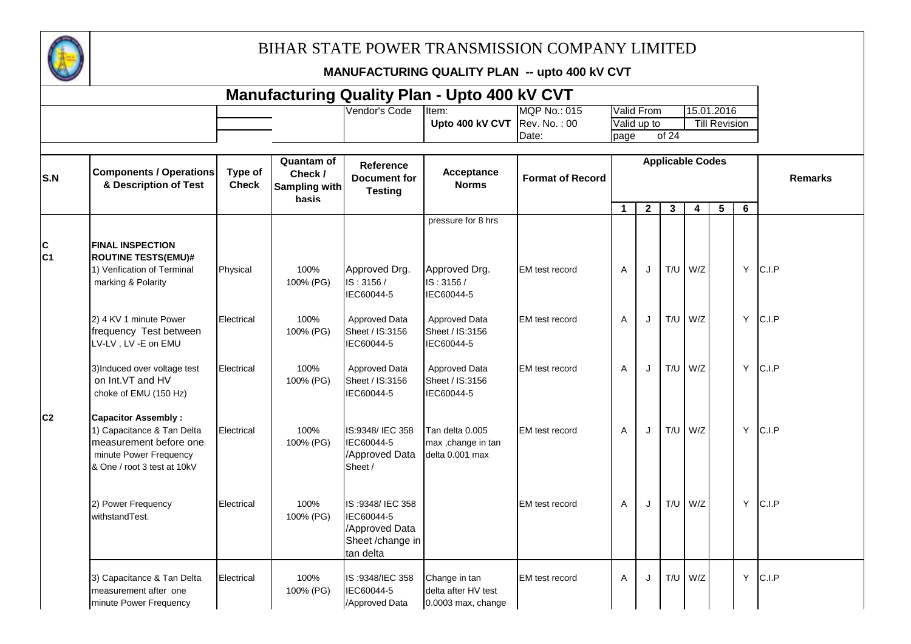

|                     |                                                                                                                                             |                         |                                                        |                                                                                  | <b>Manufacturing Quality Plan - Upto 400 kV CVT</b>        |                         |                |              |              |                         |                      |              |                |
|---------------------|---------------------------------------------------------------------------------------------------------------------------------------------|-------------------------|--------------------------------------------------------|----------------------------------------------------------------------------------|------------------------------------------------------------|-------------------------|----------------|--------------|--------------|-------------------------|----------------------|--------------|----------------|
|                     |                                                                                                                                             |                         |                                                        | Vendor's Code                                                                    | Item:                                                      | <b>MQP No.: 015</b>     |                | Valid From   |              |                         | 15.01.2016           |              |                |
|                     |                                                                                                                                             |                         |                                                        |                                                                                  | Upto 400 kV CVT $\vert$ Rev. No.: 00                       | Date:                   | page           | Valid up to  | of 24        |                         | <b>Till Revision</b> |              |                |
|                     |                                                                                                                                             |                         |                                                        |                                                                                  |                                                            |                         |                |              |              |                         |                      |              |                |
| S.N                 | <b>Components / Operations</b><br>& Description of Test                                                                                     | Type of<br><b>Check</b> | <b>Quantam of</b><br>Check /<br>Sampling with<br>basis | <b>Reference</b><br><b>Document for</b><br><b>Testing</b>                        | Acceptance<br><b>Norms</b>                                 | <b>Format of Record</b> |                |              |              | <b>Applicable Codes</b> |                      |              | <b>Remarks</b> |
|                     |                                                                                                                                             |                         |                                                        |                                                                                  |                                                            |                         | $\mathbf{1}$   | $\mathbf{2}$ | $\mathbf{3}$ | 4                       | $5\phantom{.0}$      | 6            |                |
|                     |                                                                                                                                             |                         |                                                        |                                                                                  | pressure for 8 hrs                                         |                         |                |              |              |                         |                      |              |                |
| C<br>C <sub>1</sub> | <b>FINAL INSPECTION</b><br><b>ROUTINE TESTS(EMU)#</b><br>1) Verification of Terminal<br>marking & Polarity                                  | Physical                | 100%<br>100% (PG)                                      | Approved Drg.<br>IS: 3156/<br>IEC60044-5                                         | Approved Drg.<br>IS: 3156/<br>IEC60044-5                   | <b>EM</b> test record   | $\overline{A}$ | J            | T/U          | W/Z                     |                      | Y            | C.I.P          |
|                     | 2) 4 KV 1 minute Power<br>frequency Test between<br>LV-LV, LV-E on EMU                                                                      | Electrical              | 100%<br>100% (PG)                                      | Approved Data<br>Sheet / IS:3156<br>IEC60044-5                                   | Approved Data<br>Sheet / IS:3156<br>IEC60044-5             | EM test record          | A              | J            | T/U          | W/Z                     |                      | Y            | C.I.P          |
|                     | 3)Induced over voltage test<br>on Int.VT and HV<br>choke of EMU (150 Hz)                                                                    | Electrical              | 100%<br>100% (PG)                                      | Approved Data<br>Sheet / IS:3156<br>IEC60044-5                                   | Approved Data<br>Sheet / IS:3156<br>IEC60044-5             | EM test record          | $\overline{A}$ | J            | T/U          | W/Z                     |                      | Y            | C.I.P          |
| C <sub>2</sub>      | <b>Capacitor Assembly:</b><br>1) Capacitance & Tan Delta<br>measurement before one<br>minute Power Frequency<br>& One / root 3 test at 10kV | Electrical              | 100%<br>100% (PG)                                      | IS:9348/ IEC 358<br>IEC60044-5<br>/Approved Data<br>Sheet /                      | Tan delta 0.005<br>max, change in tan<br>delta 0.001 max   | <b>EM</b> test record   | $\overline{A}$ | J            | T/U          | W/Z                     |                      | $\mathsf{Y}$ | C.I.P          |
|                     | 2) Power Frequency<br>withstandTest.                                                                                                        | Electrical              | 100%<br>100% (PG)                                      | IS:9348/IEC 358<br>IEC60044-5<br>/Approved Data<br>Sheet /change in<br>tan delta |                                                            | <b>EM</b> test record   | $\overline{A}$ | J            | T/U          | W/Z                     |                      | Y            | C.I.P          |
|                     | 3) Capacitance & Tan Delta<br>measurement after one<br>minute Power Frequency                                                               | Electrical              | 100%<br>100% (PG)                                      | IS:9348/IEC 358<br>IEC60044-5<br>/Approved Data                                  | Change in tan<br>delta after HV test<br>0.0003 max, change | <b>EM</b> test record   | $\overline{A}$ | J            | T/U          | W/Z                     |                      | Y            | C.I.P          |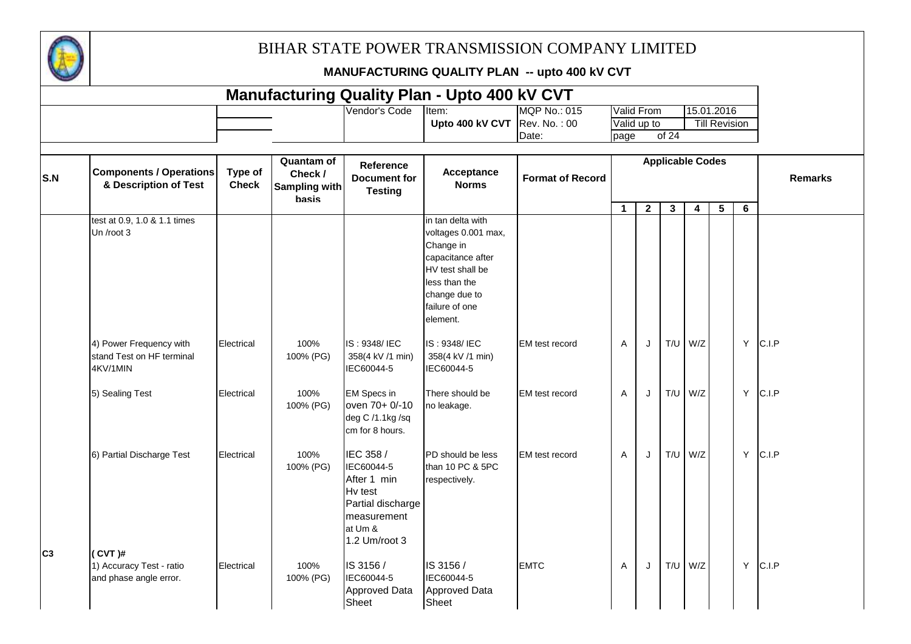

|                |                                                                  |                         |                                                        |                                                                                                                   | <b>Manufacturing Quality Plan - Upto 400 kV CVT</b>                                                                                                            |                         |              |                   |                         |                         |                      |   |       |                |
|----------------|------------------------------------------------------------------|-------------------------|--------------------------------------------------------|-------------------------------------------------------------------------------------------------------------------|----------------------------------------------------------------------------------------------------------------------------------------------------------------|-------------------------|--------------|-------------------|-------------------------|-------------------------|----------------------|---|-------|----------------|
|                |                                                                  |                         |                                                        | Vendor's Code                                                                                                     | Item:                                                                                                                                                          | <b>MQP No.: 015</b>     |              | <b>Valid From</b> |                         |                         | 15.01.2016           |   |       |                |
|                |                                                                  |                         |                                                        |                                                                                                                   | Upto 400 kV CVT $\vert$ Rev. No.: 00                                                                                                                           |                         |              | Valid up to       |                         |                         | <b>Till Revision</b> |   |       |                |
|                |                                                                  |                         |                                                        |                                                                                                                   |                                                                                                                                                                | Date:                   | page         |                   | of 24                   |                         |                      |   |       |                |
|                |                                                                  |                         |                                                        |                                                                                                                   |                                                                                                                                                                |                         |              |                   |                         |                         |                      |   |       |                |
| S.N            | <b>Components / Operations</b><br>& Description of Test          | Type of<br><b>Check</b> | <b>Quantam of</b><br>Check /<br>Sampling with<br>basis | Reference<br><b>Document for</b><br><b>Testing</b>                                                                | Acceptance<br><b>Norms</b>                                                                                                                                     | <b>Format of Record</b> |              |                   | <b>Applicable Codes</b> |                         |                      |   |       | <b>Remarks</b> |
|                | test at 0.9, 1.0 & 1.1 times<br>Un /root 3                       |                         |                                                        |                                                                                                                   | in tan delta with<br>voltages 0.001 max,<br>Change in<br>capacitance after<br>HV test shall be<br>less than the<br>change due to<br>failure of one<br>element. |                         | $\mathbf{1}$ | $\mathbf{2}$      | $\mathbf{3}$            | $\overline{\mathbf{4}}$ | $5\phantom{.0}$      | 6 |       |                |
|                | 4) Power Frequency with<br>stand Test on HF terminal<br>4KV/1MIN | Electrical              | 100%<br>100% (PG)                                      | IS: 9348/IEC<br>358(4 kV /1 min)<br>IEC60044-5                                                                    | IS: 9348/IEC<br>358(4 kV /1 min)<br>IEC60044-5                                                                                                                 | <b>EM</b> test record   | A            | J                 | T/U                     | W/Z                     |                      | Y | C.I.P |                |
|                | 5) Sealing Test                                                  | Electrical              | 100%<br>100% (PG)                                      | <b>EM Specs in</b><br>oven 70+ 0/-10<br>deg C /1.1kg /sq<br>cm for 8 hours.                                       | There should be<br>no leakage.                                                                                                                                 | EM test record          | A            | $\cdot$           | T/U                     | W/Z                     |                      | Y | C.I.P |                |
| C <sub>3</sub> | 6) Partial Discharge Test<br>$(CVT)$ #                           | Electrical              | 100%<br>100% (PG)                                      | IEC 358 /<br>IEC60044-5<br>After 1 min<br>Hv test<br>Partial discharge<br>measurement<br>at Um &<br>1.2 Um/root 3 | PD should be less<br>than 10 PC & 5PC<br>respectively.                                                                                                         | EM test record          | A            | J                 | T/U                     | W/Z                     |                      | Y | C.I.P |                |
|                | 1) Accuracy Test - ratio<br>and phase angle error.               | Electrical              | 100%<br>100% (PG)                                      | IS 3156 /<br>IEC60044-5<br><b>Approved Data</b><br>Sheet                                                          | IS 3156 /<br>IEC60044-5<br><b>Approved Data</b><br>Sheet                                                                                                       | <b>EMTC</b>             | A            | J                 | T/U                     | W/Z                     |                      | Y | C.I.P |                |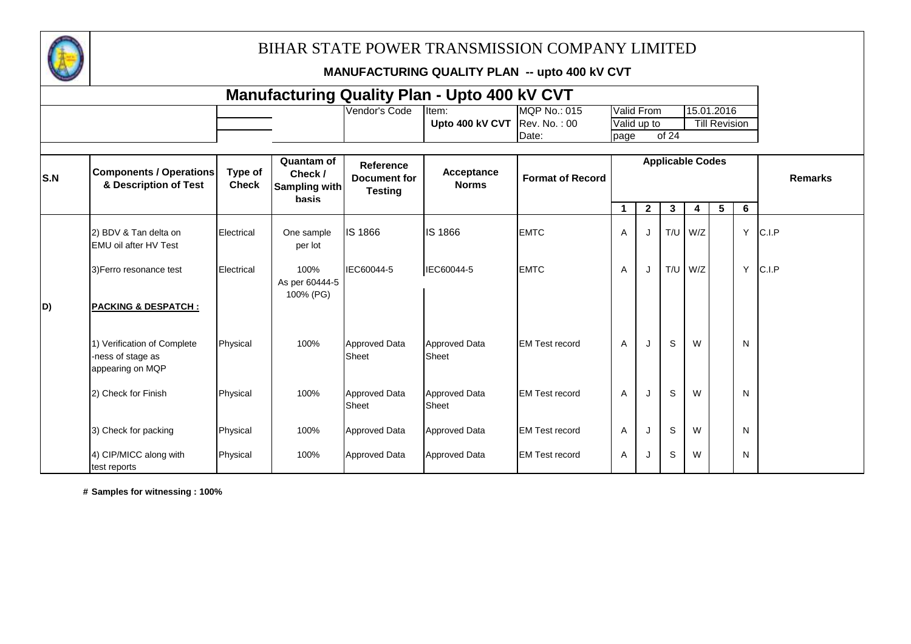

**MANUFACTURING QUALITY PLAN -- upto 400 kV CVT**

|     |                                                                      |                         |                                                 |                                                    | <b>Manufacturing Quality Plan - Upto 400 kV CVT</b> |                              |             |                           |                         |     |                                    |   |       |                |
|-----|----------------------------------------------------------------------|-------------------------|-------------------------------------------------|----------------------------------------------------|-----------------------------------------------------|------------------------------|-------------|---------------------------|-------------------------|-----|------------------------------------|---|-------|----------------|
|     |                                                                      |                         |                                                 | Vendor's Code                                      | Item:<br>Upto 400 kV CVT $\vert$ Rev. No.: 00       | <b>MQP No.: 015</b><br>Date: | page        | Valid From<br>Valid up to | of 24                   |     | 15.01.2016<br><b>Till Revision</b> |   |       |                |
| S.N | <b>Components / Operations</b><br>& Description of Test              | Type of<br><b>Check</b> | Quantam of<br>Check /<br>Sampling with<br>hasis | <b>Reference</b><br>Document for<br><b>Testing</b> | Acceptance<br><b>Norms</b>                          | <b>Format of Record</b>      |             |                           | <b>Applicable Codes</b> |     |                                    |   |       | <b>Remarks</b> |
|     |                                                                      |                         |                                                 |                                                    |                                                     |                              | $\mathbf 1$ | $\mathbf{2}$              | 3                       | 4   | 5                                  | 6 |       |                |
|     | 2) BDV & Tan delta on<br>EMU oil after HV Test                       | Electrical              | One sample<br>per lot                           | IS 1866                                            | <b>IS 1866</b>                                      | <b>EMTC</b>                  | A           | J                         | T/U                     | W/Z |                                    | Y | C.I.P |                |
|     | 3) Ferro resonance test                                              | Electrical              | 100%<br>As per 60444-5<br>100% (PG)             | IEC60044-5                                         | IEC60044-5                                          | <b>EMTC</b>                  | A           | J                         | T/U                     | W/Z |                                    | Y | C.I.P |                |
| D)  | <b>PACKING &amp; DESPATCH:</b>                                       |                         |                                                 |                                                    |                                                     |                              |             |                           |                         |     |                                    |   |       |                |
|     | 1) Verification of Complete<br>-ness of stage as<br>appearing on MQP | Physical                | 100%                                            | <b>Approved Data</b><br>Sheet                      | Approved Data<br>Sheet                              | <b>EM Test record</b>        | A           | J                         | S                       | W   |                                    | N |       |                |
|     | 2) Check for Finish                                                  | Physical                | 100%                                            | Approved Data<br>Sheet                             | Approved Data<br><b>Sheet</b>                       | <b>EM Test record</b>        | A           | J                         | S                       | W   |                                    | N |       |                |
|     | 3) Check for packing                                                 | Physical                | 100%                                            | Approved Data                                      | <b>Approved Data</b>                                | <b>EM Test record</b>        | A           | J                         | S                       | W   |                                    | N |       |                |
|     | 4) CIP/MICC along with<br>test reports                               | Physical                | 100%                                            | <b>Approved Data</b>                               | <b>Approved Data</b>                                | <b>EM Test record</b>        | A           | J                         | S                       | W   |                                    | N |       |                |

**# Samples for witnessing : 100%**